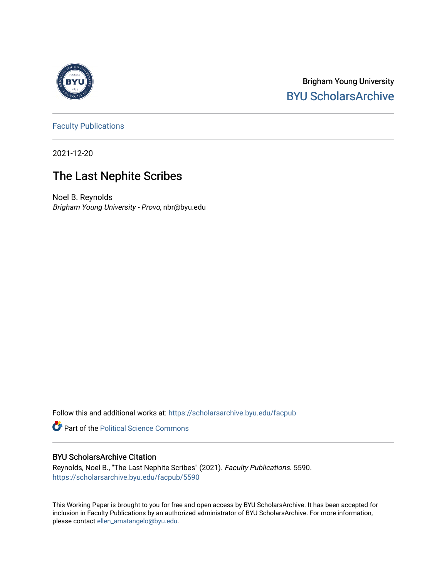

Brigham Young University [BYU ScholarsArchive](https://scholarsarchive.byu.edu/) 

[Faculty Publications](https://scholarsarchive.byu.edu/facpub)

2021-12-20

## The Last Nephite Scribes

Noel B. Reynolds Brigham Young University - Provo, nbr@byu.edu

Follow this and additional works at: [https://scholarsarchive.byu.edu/facpub](https://scholarsarchive.byu.edu/facpub?utm_source=scholarsarchive.byu.edu%2Ffacpub%2F5590&utm_medium=PDF&utm_campaign=PDFCoverPages) 

**Part of the Political Science Commons** 

#### BYU ScholarsArchive Citation

Reynolds, Noel B., "The Last Nephite Scribes" (2021). Faculty Publications. 5590. [https://scholarsarchive.byu.edu/facpub/5590](https://scholarsarchive.byu.edu/facpub/5590?utm_source=scholarsarchive.byu.edu%2Ffacpub%2F5590&utm_medium=PDF&utm_campaign=PDFCoverPages)

This Working Paper is brought to you for free and open access by BYU ScholarsArchive. It has been accepted for inclusion in Faculty Publications by an authorized administrator of BYU ScholarsArchive. For more information, please contact [ellen\\_amatangelo@byu.edu](mailto:ellen_amatangelo@byu.edu).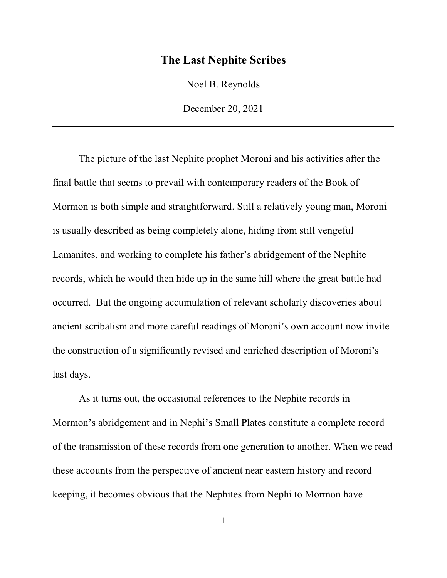#### **The Last Nephite Scribes**

Noel B. Reynolds

December 20, 2021

The picture of the last Nephite prophet Moroni and his activities after the final battle that seems to prevail with contemporary readers of the Book of Mormon is both simple and straightforward. Still a relatively young man, Moroni is usually described as being completely alone, hiding from still vengeful Lamanites, and working to complete his father's abridgement of the Nephite records, which he would then hide up in the same hill where the great battle had occurred. But the ongoing accumulation of relevant scholarly discoveries about ancient scribalism and more careful readings of Moroni's own account now invite the construction of a significantly revised and enriched description of Moroni's last days.

As it turns out, the occasional references to the Nephite records in Mormon's abridgement and in Nephi's Small Plates constitute a complete record of the transmission of these records from one generation to another. When we read these accounts from the perspective of ancient near eastern history and record keeping, it becomes obvious that the Nephites from Nephi to Mormon have

1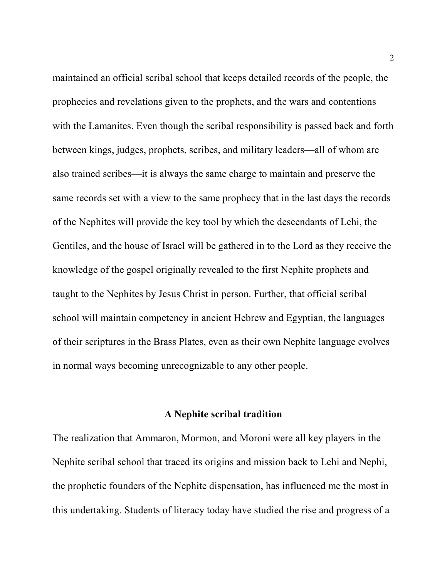maintained an official scribal school that keeps detailed records of the people, the prophecies and revelations given to the prophets, and the wars and contentions with the Lamanites. Even though the scribal responsibility is passed back and forth between kings, judges, prophets, scribes, and military leaders—all of whom are also trained scribes—it is always the same charge to maintain and preserve the same records set with a view to the same prophecy that in the last days the records of the Nephites will provide the key tool by which the descendants of Lehi, the Gentiles, and the house of Israel will be gathered in to the Lord as they receive the knowledge of the gospel originally revealed to the first Nephite prophets and taught to the Nephites by Jesus Christ in person. Further, that official scribal school will maintain competency in ancient Hebrew and Egyptian, the languages of their scriptures in the Brass Plates, even as their own Nephite language evolves in normal ways becoming unrecognizable to any other people.

#### **A Nephite scribal tradition**

The realization that Ammaron, Mormon, and Moroni were all key players in the Nephite scribal school that traced its origins and mission back to Lehi and Nephi, the prophetic founders of the Nephite dispensation, has influenced me the most in this undertaking. Students of literacy today have studied the rise and progress of a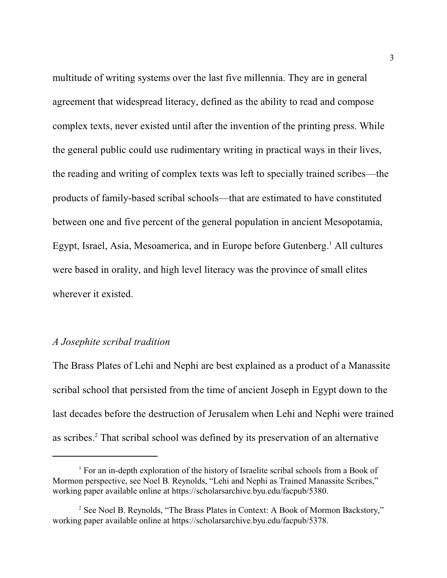multitude of writing systems over the last five millennia. They are in general agreement that widespread literacy, defined as the ability to read and compose complex texts, never existed until after the invention of the printing press. While the general public could use rudimentary writing in practical ways in their lives, the reading and writing of complex texts was left to specially trained scribes—the products of family-based scribal schools—that are estimated to have constituted between one and five percent of the general population in ancient Mesopotamia, Egypt, Israel, Asia, Mesoamerica, and in Europe before Gutenberg.<sup>1</sup> All cultures were based in orality, and high level literacy was the province of small elites wherever it existed.

#### *A Josephite scribal tradition*

The Brass Plates of Lehi and Nephi are best explained as a product of a Manassite scribal school that persisted from the time of ancient Joseph in Egypt down to the last decades before the destruction of Jerusalem when Lehi and Nephi were trained as scribes.<sup>2</sup> That scribal school was defined by its preservation of an alternative

<sup>&</sup>lt;sup>1</sup> For an in-depth exploration of the history of Israelite scribal schools from a Book of Mormon perspective, see Noel B. Reynolds, "Lehi and Nephi as Trained Manassite Scribes," working paper available online at https://scholarsarchive.byu.edu/facpub/5380.

<sup>&</sup>lt;sup>2</sup> See Noel B. Reynolds, "The Brass Plates in Context: A Book of Mormon Backstory," working paper available online at https://scholarsarchive.byu.edu/facpub/5378.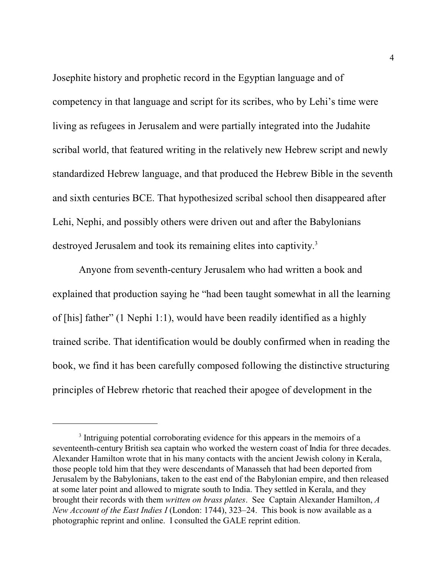Josephite history and prophetic record in the Egyptian language and of competency in that language and script for its scribes, who by Lehi's time were living as refugees in Jerusalem and were partially integrated into the Judahite scribal world, that featured writing in the relatively new Hebrew script and newly standardized Hebrew language, and that produced the Hebrew Bible in the seventh and sixth centuries BCE. That hypothesized scribal school then disappeared after Lehi, Nephi, and possibly others were driven out and after the Babylonians destroyed Jerusalem and took its remaining elites into captivity.<sup>3</sup>

Anyone from seventh-century Jerusalem who had written a book and explained that production saying he "had been taught somewhat in all the learning of [his] father" (1 Nephi 1:1), would have been readily identified as a highly trained scribe. That identification would be doubly confirmed when in reading the book, we find it has been carefully composed following the distinctive structuring principles of Hebrew rhetoric that reached their apogee of development in the

<sup>&</sup>lt;sup>3</sup> Intriguing potential corroborating evidence for this appears in the memoirs of a seventeenth-century British sea captain who worked the western coast of India for three decades. Alexander Hamilton wrote that in his many contacts with the ancient Jewish colony in Kerala, those people told him that they were descendants of Manasseh that had been deported from Jerusalem by the Babylonians, taken to the east end of the Babylonian empire, and then released at some later point and allowed to migrate south to India. They settled in Kerala, and they brought their records with them *written on brass plates*. See Captain Alexander Hamilton, *A New Account of the East Indies I* (London: 1744), 323–24. This book is now available as a photographic reprint and online. I consulted the GALE reprint edition.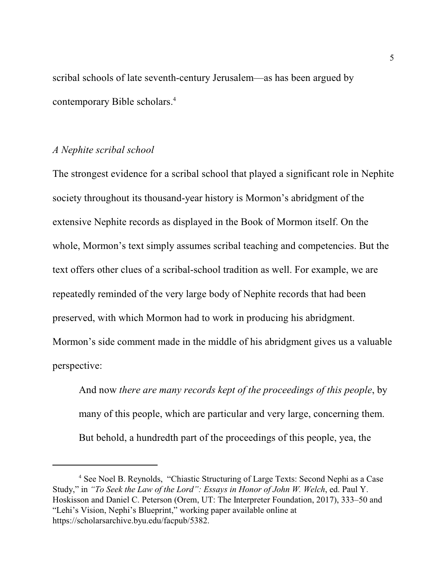scribal schools of late seventh-century Jerusalem—as has been argued by contemporary Bible scholars. 4

#### *A Nephite scribal school*

The strongest evidence for a scribal school that played a significant role in Nephite society throughout its thousand-year history is Mormon's abridgment of the extensive Nephite records as displayed in the Book of Mormon itself. On the whole, Mormon's text simply assumes scribal teaching and competencies. But the text offers other clues of a scribal-school tradition as well. For example, we are repeatedly reminded of the very large body of Nephite records that had been preserved, with which Mormon had to work in producing his abridgment. Mormon's side comment made in the middle of his abridgment gives us a valuable perspective:

And now *there are many records kept of the proceedings of this people*, by many of this people, which are particular and very large, concerning them. But behold, a hundredth part of the proceedings of this people, yea, the

<sup>&</sup>lt;sup>4</sup> See Noel B. Reynolds, "Chiastic Structuring of Large Texts: Second Nephi as a Case Study," in *"To Seek the Law of the Lord": Essays in Honor of John W. Welch*, ed. Paul Y. Hoskisson and Daniel C. Peterson (Orem, UT: The Interpreter Foundation, 2017), 333–50 and "Lehi's Vision, Nephi's Blueprint," working paper available online at https://scholarsarchive.byu.edu/facpub/5382.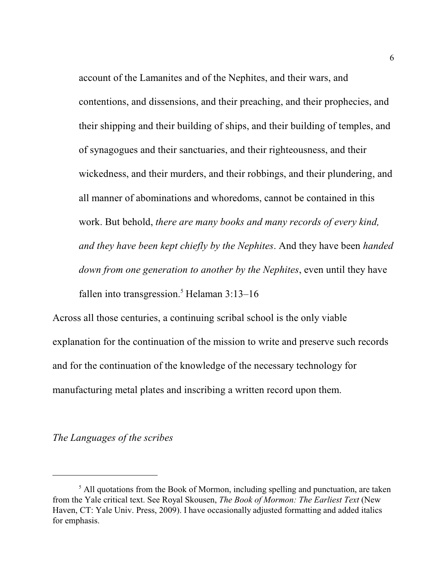account of the Lamanites and of the Nephites, and their wars, and contentions, and dissensions, and their preaching, and their prophecies, and their shipping and their building of ships, and their building of temples, and of synagogues and their sanctuaries, and their righteousness, and their wickedness, and their murders, and their robbings, and their plundering, and all manner of abominations and whoredoms, cannot be contained in this work. But behold, *there are many books and many records of every kind, and they have been kept chiefly by the Nephites*. And they have been *handed down from one generation to another by the Nephites*, even until they have fallen into transgression. <sup>5</sup> Helaman 3:13–16

Across all those centuries, a continuing scribal school is the only viable explanation for the continuation of the mission to write and preserve such records and for the continuation of the knowledge of the necessary technology for manufacturing metal plates and inscribing a written record upon them.

#### *The Languages of the scribes*

<sup>&</sup>lt;sup>5</sup> All quotations from the Book of Mormon, including spelling and punctuation, are taken from the Yale critical text. See Royal Skousen, *The Book of Mormon: The Earliest Text* (New Haven, CT: Yale Univ. Press, 2009). I have occasionally adjusted formatting and added italics for emphasis.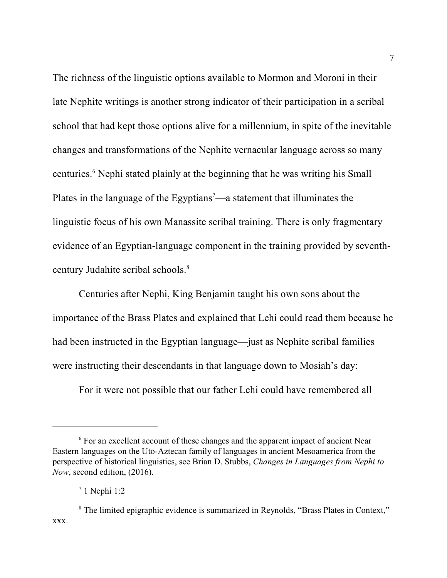The richness of the linguistic options available to Mormon and Moroni in their late Nephite writings is another strong indicator of their participation in a scribal school that had kept those options alive for a millennium, in spite of the inevitable changes and transformations of the Nephite vernacular language across so many centuries. 6 Nephi stated plainly at the beginning that he was writing his Small Plates in the language of the Egyptians<sup>7</sup>—a statement that illuminates the linguistic focus of his own Manassite scribal training. There is only fragmentary evidence of an Egyptian-language component in the training provided by seventhcentury Judahite scribal schools. 8

Centuries after Nephi, King Benjamin taught his own sons about the importance of the Brass Plates and explained that Lehi could read them because he had been instructed in the Egyptian language—just as Nephite scribal families were instructing their descendants in that language down to Mosiah's day:

For it were not possible that our father Lehi could have remembered all

<sup>&</sup>lt;sup>6</sup> For an excellent account of these changes and the apparent impact of ancient Near Eastern languages on the Uto-Aztecan family of languages in ancient Mesoamerica from the perspective of historical linguistics, see Brian D. Stubbs, *Changes in Languages from Nephi to Now*, second edition, (2016).

<sup>7</sup> 1 Nephi 1:2

<sup>&</sup>lt;sup>8</sup> The limited epigraphic evidence is summarized in Reynolds, "Brass Plates in Context," xxx.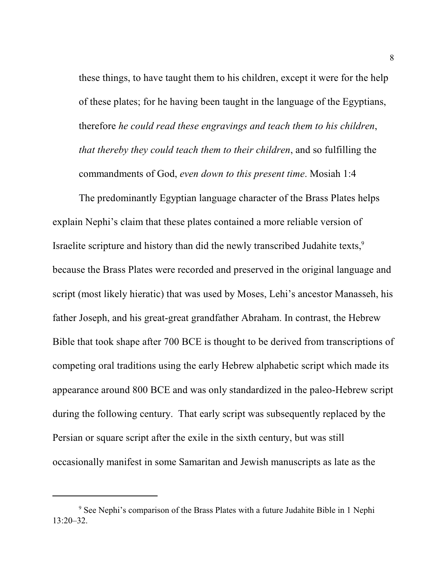these things, to have taught them to his children, except it were for the help of these plates; for he having been taught in the language of the Egyptians, therefore *he could read these engravings and teach them to his children*, *that thereby they could teach them to their children*, and so fulfilling the commandments of God, *even down to this present time*. Mosiah 1:4

The predominantly Egyptian language character of the Brass Plates helps explain Nephi's claim that these plates contained a more reliable version of Israelite scripture and history than did the newly transcribed Judahite texts,<sup>9</sup> because the Brass Plates were recorded and preserved in the original language and script (most likely hieratic) that was used by Moses, Lehi's ancestor Manasseh, his father Joseph, and his great-great grandfather Abraham. In contrast, the Hebrew Bible that took shape after 700 BCE is thought to be derived from transcriptions of competing oral traditions using the early Hebrew alphabetic script which made its appearance around 800 BCE and was only standardized in the paleo-Hebrew script during the following century. That early script was subsequently replaced by the Persian or square script after the exile in the sixth century, but was still occasionally manifest in some Samaritan and Jewish manuscripts as late as the

<sup>&</sup>lt;sup>9</sup> See Nephi's comparison of the Brass Plates with a future Judahite Bible in 1 Nephi 13:20–32.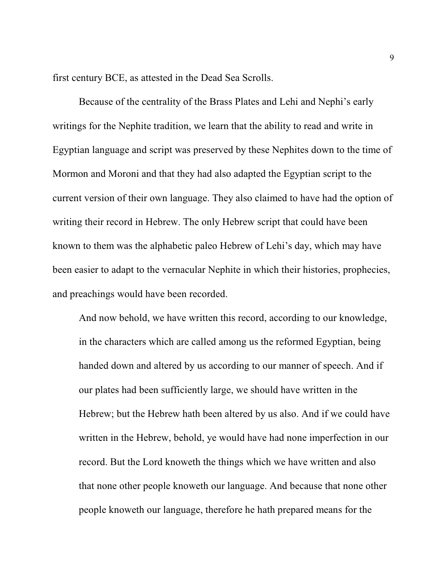first century BCE, as attested in the Dead Sea Scrolls.

Because of the centrality of the Brass Plates and Lehi and Nephi's early writings for the Nephite tradition, we learn that the ability to read and write in Egyptian language and script was preserved by these Nephites down to the time of Mormon and Moroni and that they had also adapted the Egyptian script to the current version of their own language. They also claimed to have had the option of writing their record in Hebrew. The only Hebrew script that could have been known to them was the alphabetic paleo Hebrew of Lehi's day, which may have been easier to adapt to the vernacular Nephite in which their histories, prophecies, and preachings would have been recorded.

And now behold, we have written this record, according to our knowledge, in the characters which are called among us the reformed Egyptian, being handed down and altered by us according to our manner of speech. And if our plates had been sufficiently large, we should have written in the Hebrew; but the Hebrew hath been altered by us also. And if we could have written in the Hebrew, behold, ye would have had none imperfection in our record. But the Lord knoweth the things which we have written and also that none other people knoweth our language. And because that none other people knoweth our language, therefore he hath prepared means for the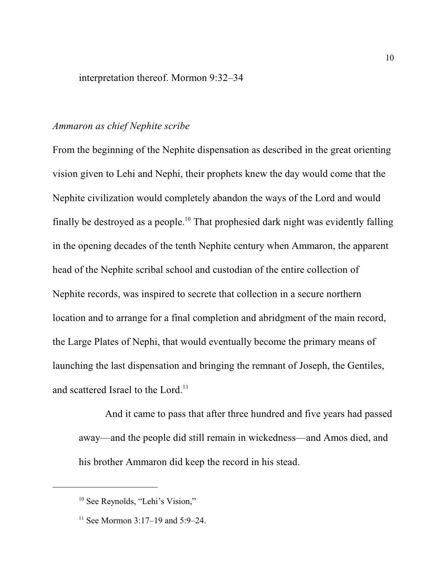#### interpretation thereof. Mormon 9:32–34

#### *Ammaron as chief Nephite scribe*

From the beginning of the Nephite dispensation as described in the great orienting vision given to Lehi and Nephi, their prophets knew the day would come that the Nephite civilization would completely abandon the ways of the Lord and would finally be destroyed as a people.<sup>10</sup> That prophesied dark night was evidently falling in the opening decades of the tenth Nephite century when Ammaron, the apparent head of the Nephite scribal school and custodian of the entire collection of Nephite records, was inspired to secrete that collection in a secure northern location and to arrange for a final completion and abridgment of the main record, the Large Plates of Nephi, that would eventually become the primary means of launching the last dispensation and bringing the remnant of Joseph, the Gentiles, and scattered Israel to the Lord.<sup>11</sup>

And it came to pass that after three hundred and five years had passed away—and the people did still remain in wickedness—and Amos died, and his brother Ammaron did keep the record in his stead.

<sup>&</sup>lt;sup>10</sup> See Reynolds, "Lehi's Vision,"

<sup>&</sup>lt;sup>11</sup> See Mormon 3:17–19 and 5:9–24.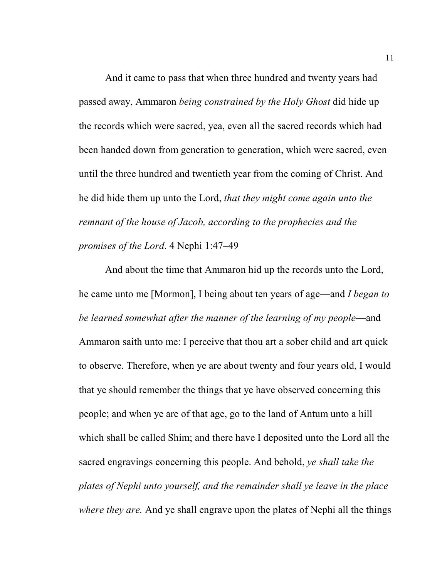And it came to pass that when three hundred and twenty years had passed away, Ammaron *being constrained by the Holy Ghost* did hide up the records which were sacred, yea, even all the sacred records which had been handed down from generation to generation, which were sacred, even until the three hundred and twentieth year from the coming of Christ. And he did hide them up unto the Lord, *that they might come again unto the remnant of the house of Jacob, according to the prophecies and the promises of the Lord*. 4 Nephi 1:47–49

And about the time that Ammaron hid up the records unto the Lord, he came unto me [Mormon], I being about ten years of age—and *I began to be learned somewhat after the manner of the learning of my people*—and Ammaron saith unto me: I perceive that thou art a sober child and art quick to observe. Therefore, when ye are about twenty and four years old, I would that ye should remember the things that ye have observed concerning this people; and when ye are of that age, go to the land of Antum unto a hill which shall be called Shim; and there have I deposited unto the Lord all the sacred engravings concerning this people. And behold, *ye shall take the plates of Nephi unto yourself, and the remainder shall ye leave in the place where they are.* And ye shall engrave upon the plates of Nephi all the things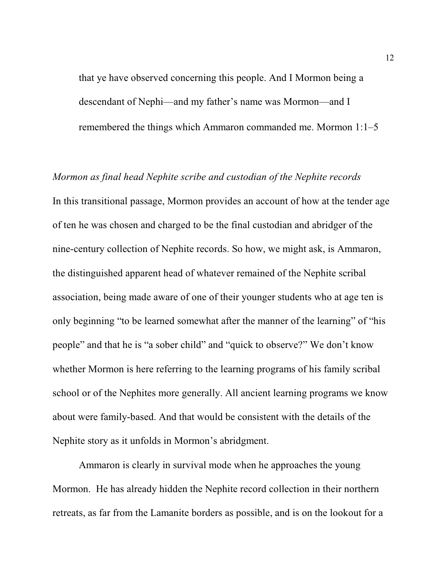that ye have observed concerning this people. And I Mormon being a descendant of Nephi—and my father's name was Mormon—and I remembered the things which Ammaron commanded me. Mormon 1:1–5

# *Mormon as final head Nephite scribe and custodian of the Nephite records* In this transitional passage, Mormon provides an account of how at the tender age of ten he was chosen and charged to be the final custodian and abridger of the nine-century collection of Nephite records. So how, we might ask, is Ammaron, the distinguished apparent head of whatever remained of the Nephite scribal association, being made aware of one of their younger students who at age ten is only beginning "to be learned somewhat after the manner of the learning" of "his people" and that he is "a sober child" and "quick to observe?" We don't know whether Mormon is here referring to the learning programs of his family scribal school or of the Nephites more generally. All ancient learning programs we know about were family-based. And that would be consistent with the details of the Nephite story as it unfolds in Mormon's abridgment.

Ammaron is clearly in survival mode when he approaches the young Mormon. He has already hidden the Nephite record collection in their northern retreats, as far from the Lamanite borders as possible, and is on the lookout for a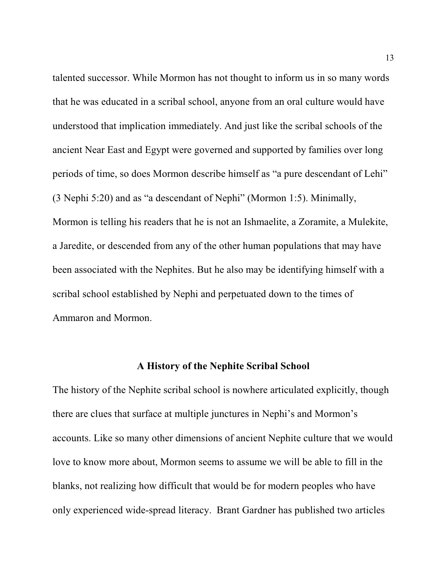talented successor. While Mormon has not thought to inform us in so many words that he was educated in a scribal school, anyone from an oral culture would have understood that implication immediately. And just like the scribal schools of the ancient Near East and Egypt were governed and supported by families over long periods of time, so does Mormon describe himself as "a pure descendant of Lehi" (3 Nephi 5:20) and as "a descendant of Nephi" (Mormon 1:5). Minimally, Mormon is telling his readers that he is not an Ishmaelite, a Zoramite, a Mulekite, a Jaredite, or descended from any of the other human populations that may have been associated with the Nephites. But he also may be identifying himself with a scribal school established by Nephi and perpetuated down to the times of Ammaron and Mormon.

#### **A History of the Nephite Scribal School**

The history of the Nephite scribal school is nowhere articulated explicitly, though there are clues that surface at multiple junctures in Nephi's and Mormon's accounts. Like so many other dimensions of ancient Nephite culture that we would love to know more about, Mormon seems to assume we will be able to fill in the blanks, not realizing how difficult that would be for modern peoples who have only experienced wide-spread literacy. Brant Gardner has published two articles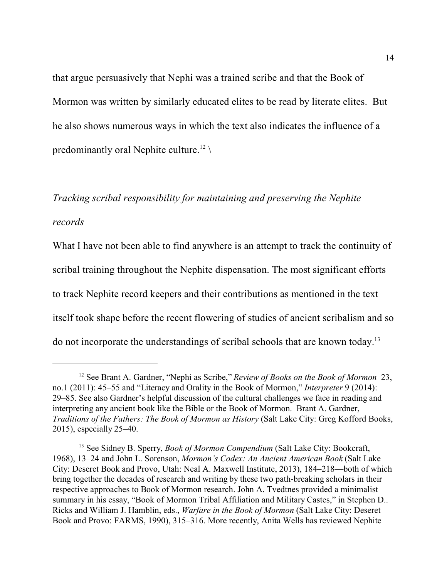that argue persuasively that Nephi was a trained scribe and that the Book of Mormon was written by similarly educated elites to be read by literate elites. But he also shows numerous ways in which the text also indicates the influence of a predominantly oral Nephite culture.<sup>12</sup>

# *Tracking scribal responsibility for maintaining and preserving the Nephite records*

What I have not been able to find anywhere is an attempt to track the continuity of scribal training throughout the Nephite dispensation. The most significant efforts to track Nephite record keepers and their contributions as mentioned in the text itself took shape before the recent flowering of studies of ancient scribalism and so do not incorporate the understandings of scribal schools that are known today.<sup>13</sup>

<sup>12</sup> See Brant A. Gardner, "Nephi as Scribe," *Review of Books on the Book of Mormon* 23, no.1 (2011): 45–55 and "Literacy and Orality in the Book of Mormon," *Interpreter* 9 (2014): 29–85. See also Gardner's helpful discussion of the cultural challenges we face in reading and interpreting any ancient book like the Bible or the Book of Mormon. Brant A. Gardner, *Traditions of the Fathers: The Book of Mormon as History* (Salt Lake City: Greg Kofford Books, 2015), especially 25–40.

<sup>&</sup>lt;sup>13</sup> See Sidney B. Sperry, *Book of Mormon Compendium* (Salt Lake City: Bookcraft, 1968), 13–24 and John L. Sorenson, *Mormon's Codex: An Ancient American Book* (Salt Lake City: Deseret Book and Provo, Utah: Neal A. Maxwell Institute, 2013), 184–218—both of which bring together the decades of research and writing by these two path-breaking scholars in their respective approaches to Book of Mormon research. John A. Tvedtnes provided a minimalist summary in his essay, "Book of Mormon Tribal Affiliation and Military Castes," in Stephen D.. Ricks and William J. Hamblin, eds., *Warfare in the Book of Mormon* (Salt Lake City: Deseret Book and Provo: FARMS, 1990), 315–316. More recently, Anita Wells has reviewed Nephite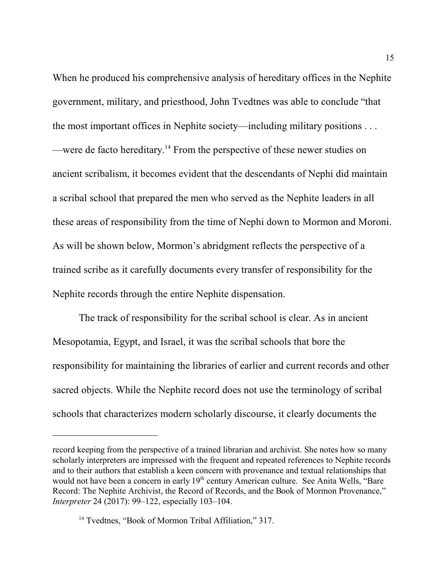When he produced his comprehensive analysis of hereditary offices in the Nephite government, military, and priesthood, John Tvedtnes was able to conclude "that the most important offices in Nephite society—including military positions . . . —were de facto hereditary.<sup>14</sup> From the perspective of these newer studies on ancient scribalism, it becomes evident that the descendants of Nephi did maintain a scribal school that prepared the men who served as the Nephite leaders in all these areas of responsibility from the time of Nephi down to Mormon and Moroni. As will be shown below, Mormon's abridgment reflects the perspective of a trained scribe as it carefully documents every transfer of responsibility for the Nephite records through the entire Nephite dispensation.

The track of responsibility for the scribal school is clear. As in ancient Mesopotamia, Egypt, and Israel, it was the scribal schools that bore the responsibility for maintaining the libraries of earlier and current records and other sacred objects. While the Nephite record does not use the terminology of scribal schools that characterizes modern scholarly discourse, it clearly documents the

record keeping from the perspective of a trained librarian and archivist. She notes how so many scholarly interpreters are impressed with the frequent and repeated references to Nephite records and to their authors that establish a keen concern with provenance and textual relationships that would not have been a concern in early 19<sup>th</sup> century American culture. See Anita Wells, "Bare Record: The Nephite Archivist, the Record of Records, and the Book of Mormon Provenance," *Interpreter* 24 (2017): 99–122, especially 103–104.

<sup>&</sup>lt;sup>14</sup> Tvedtnes, "Book of Mormon Tribal Affiliation," 317.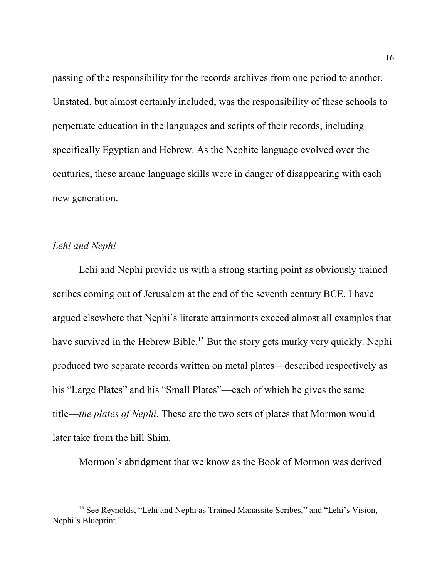passing of the responsibility for the records archives from one period to another. Unstated, but almost certainly included, was the responsibility of these schools to perpetuate education in the languages and scripts of their records, including specifically Egyptian and Hebrew. As the Nephite language evolved over the centuries, these arcane language skills were in danger of disappearing with each new generation.

#### *Lehi and Nephi*

Lehi and Nephi provide us with a strong starting point as obviously trained scribes coming out of Jerusalem at the end of the seventh century BCE. I have argued elsewhere that Nephi's literate attainments exceed almost all examples that have survived in the Hebrew Bible.<sup>15</sup> But the story gets murky very quickly. Nephi produced two separate records written on metal plates—described respectively as his "Large Plates" and his "Small Plates"—each of which he gives the same title—*the plates of Nephi*. These are the two sets of plates that Mormon would later take from the hill Shim.

Mormon's abridgment that we know as the Book of Mormon was derived

<sup>&</sup>lt;sup>15</sup> See Reynolds, "Lehi and Nephi as Trained Manassite Scribes," and "Lehi's Vision, Nephi's Blueprint."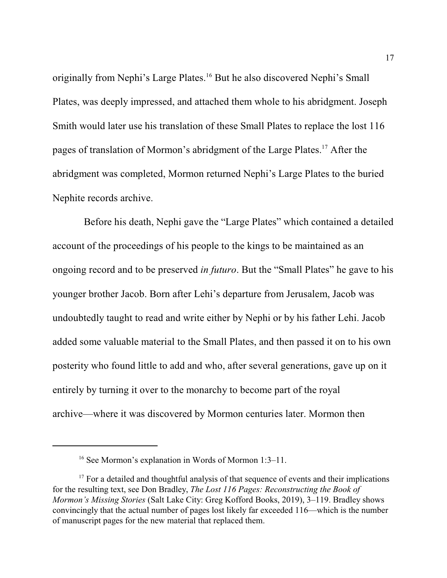originally from Nephi's Large Plates.<sup>16</sup> But he also discovered Nephi's Small Plates, was deeply impressed, and attached them whole to his abridgment. Joseph Smith would later use his translation of these Small Plates to replace the lost 116 pages of translation of Mormon's abridgment of the Large Plates.<sup>17</sup> After the abridgment was completed, Mormon returned Nephi's Large Plates to the buried Nephite records archive.

 Before his death, Nephi gave the "Large Plates" which contained a detailed account of the proceedings of his people to the kings to be maintained as an ongoing record and to be preserved *in futuro*. But the "Small Plates" he gave to his younger brother Jacob. Born after Lehi's departure from Jerusalem, Jacob was undoubtedly taught to read and write either by Nephi or by his father Lehi. Jacob added some valuable material to the Small Plates, and then passed it on to his own posterity who found little to add and who, after several generations, gave up on it entirely by turning it over to the monarchy to become part of the royal archive—where it was discovered by Mormon centuries later. Mormon then

<sup>&</sup>lt;sup>16</sup> See Mormon's explanation in Words of Mormon 1:3-11.

<sup>&</sup>lt;sup>17</sup> For a detailed and thoughtful analysis of that sequence of events and their implications for the resulting text, see Don Bradley, *The Lost 116 Pages: Reconstructing the Book of Mormon's Missing Stories* (Salt Lake City: Greg Kofford Books, 2019), 3–119. Bradley shows convincingly that the actual number of pages lost likely far exceeded 116—which is the number of manuscript pages for the new material that replaced them.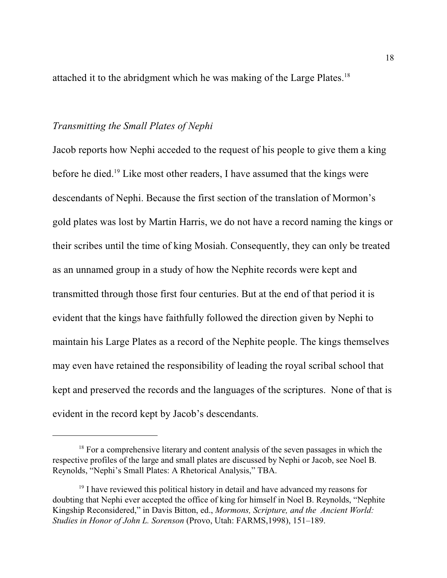attached it to the abridgment which he was making of the Large Plates.<sup>18</sup>

#### *Transmitting the Small Plates of Nephi*

Jacob reports how Nephi acceded to the request of his people to give them a king before he died.<sup>19</sup> Like most other readers, I have assumed that the kings were descendants of Nephi. Because the first section of the translation of Mormon's gold plates was lost by Martin Harris, we do not have a record naming the kings or their scribes until the time of king Mosiah. Consequently, they can only be treated as an unnamed group in a study of how the Nephite records were kept and transmitted through those first four centuries. But at the end of that period it is evident that the kings have faithfully followed the direction given by Nephi to maintain his Large Plates as a record of the Nephite people. The kings themselves may even have retained the responsibility of leading the royal scribal school that kept and preserved the records and the languages of the scriptures. None of that is evident in the record kept by Jacob's descendants.

<sup>&</sup>lt;sup>18</sup> For a comprehensive literary and content analysis of the seven passages in which the respective profiles of the large and small plates are discussed by Nephi or Jacob, see Noel B. Reynolds, "Nephi's Small Plates: A Rhetorical Analysis," TBA.

<sup>&</sup>lt;sup>19</sup> I have reviewed this political history in detail and have advanced my reasons for doubting that Nephi ever accepted the office of king for himself in Noel B. Reynolds, "Nephite Kingship Reconsidered," in Davis Bitton, ed., *Mormons, Scripture, and the Ancient World: Studies in Honor of John L. Sorenson* (Provo, Utah: FARMS,1998), 151–189.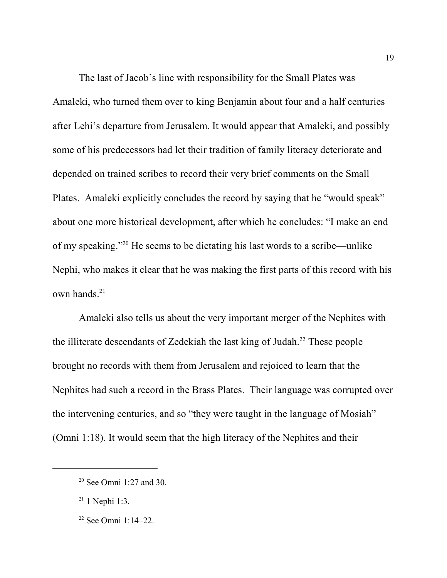The last of Jacob's line with responsibility for the Small Plates was Amaleki, who turned them over to king Benjamin about four and a half centuries after Lehi's departure from Jerusalem. It would appear that Amaleki, and possibly some of his predecessors had let their tradition of family literacy deteriorate and depended on trained scribes to record their very brief comments on the Small Plates. Amaleki explicitly concludes the record by saying that he "would speak" about one more historical development, after which he concludes: "I make an end of my speaking."<sup>20</sup> He seems to be dictating his last words to a scribe—unlike Nephi, who makes it clear that he was making the first parts of this record with his own hands. 21

Amaleki also tells us about the very important merger of the Nephites with the illiterate descendants of Zedekiah the last king of Judah.<sup>22</sup> These people brought no records with them from Jerusalem and rejoiced to learn that the Nephites had such a record in the Brass Plates. Their language was corrupted over the intervening centuries, and so "they were taught in the language of Mosiah" (Omni 1:18). It would seem that the high literacy of the Nephites and their

<sup>20</sup> See Omni 1:27 and 30.

 $21$  1 Nephi 1:3.

<sup>22</sup> See Omni 1:14–22.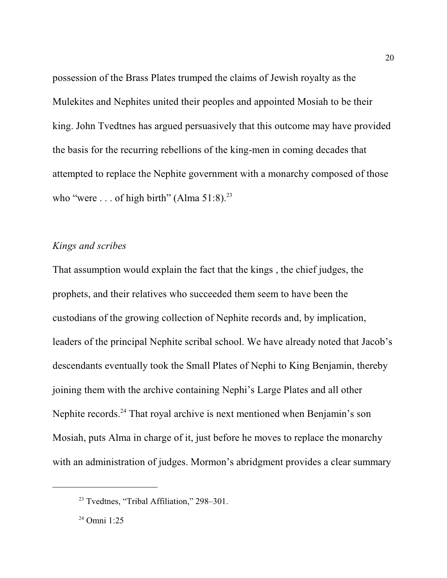possession of the Brass Plates trumped the claims of Jewish royalty as the Mulekites and Nephites united their peoples and appointed Mosiah to be their king. John Tvedtnes has argued persuasively that this outcome may have provided the basis for the recurring rebellions of the king-men in coming decades that attempted to replace the Nephite government with a monarchy composed of those who "were ... of high birth" (Alma  $51:8$ ).<sup>23</sup>

#### *Kings and scribes*

That assumption would explain the fact that the kings , the chief judges, the prophets, and their relatives who succeeded them seem to have been the custodians of the growing collection of Nephite records and, by implication, leaders of the principal Nephite scribal school. We have already noted that Jacob's descendants eventually took the Small Plates of Nephi to King Benjamin, thereby joining them with the archive containing Nephi's Large Plates and all other Nephite records.<sup>24</sup> That royal archive is next mentioned when Benjamin's son Mosiah, puts Alma in charge of it, just before he moves to replace the monarchy with an administration of judges. Mormon's abridgment provides a clear summary

<sup>&</sup>lt;sup>23</sup> Tvedtnes, "Tribal Affiliation," 298–301.

<sup>24</sup> Omni 1:25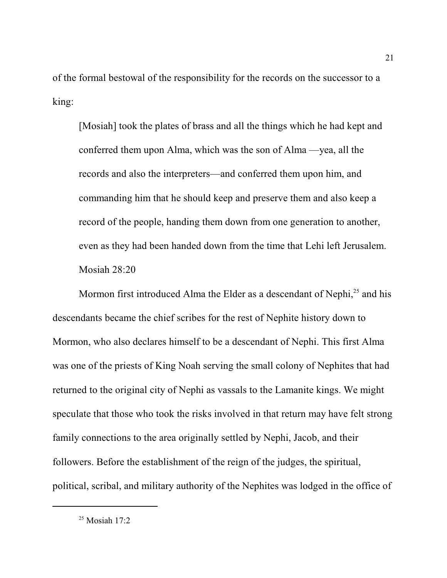of the formal bestowal of the responsibility for the records on the successor to a king:

[Mosiah] took the plates of brass and all the things which he had kept and conferred them upon Alma, which was the son of Alma —yea, all the records and also the interpreters—and conferred them upon him, and commanding him that he should keep and preserve them and also keep a record of the people, handing them down from one generation to another, even as they had been handed down from the time that Lehi left Jerusalem. Mosiah 28:20

Mormon first introduced Alma the Elder as a descendant of Nephi,<sup>25</sup> and his descendants became the chief scribes for the rest of Nephite history down to Mormon, who also declares himself to be a descendant of Nephi. This first Alma was one of the priests of King Noah serving the small colony of Nephites that had returned to the original city of Nephi as vassals to the Lamanite kings. We might speculate that those who took the risks involved in that return may have felt strong family connections to the area originally settled by Nephi, Jacob, and their followers. Before the establishment of the reign of the judges, the spiritual, political, scribal, and military authority of the Nephites was lodged in the office of

<sup>25</sup> Mosiah 17:2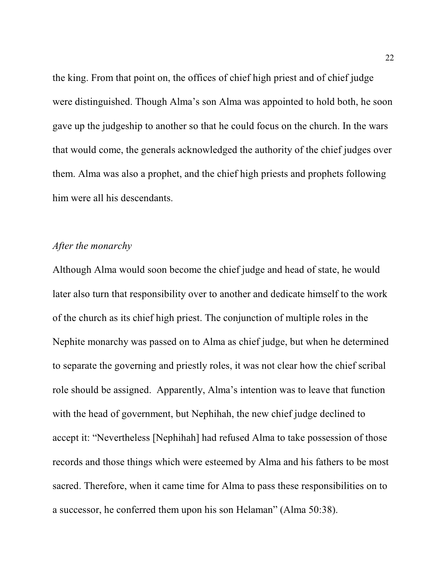the king. From that point on, the offices of chief high priest and of chief judge were distinguished. Though Alma's son Alma was appointed to hold both, he soon gave up the judgeship to another so that he could focus on the church. In the wars that would come, the generals acknowledged the authority of the chief judges over them. Alma was also a prophet, and the chief high priests and prophets following him were all his descendants.

#### *After the monarchy*

Although Alma would soon become the chief judge and head of state, he would later also turn that responsibility over to another and dedicate himself to the work of the church as its chief high priest. The conjunction of multiple roles in the Nephite monarchy was passed on to Alma as chief judge, but when he determined to separate the governing and priestly roles, it was not clear how the chief scribal role should be assigned. Apparently, Alma's intention was to leave that function with the head of government, but Nephihah, the new chief judge declined to accept it: "Nevertheless [Nephihah] had refused Alma to take possession of those records and those things which were esteemed by Alma and his fathers to be most sacred. Therefore, when it came time for Alma to pass these responsibilities on to a successor, he conferred them upon his son Helaman" (Alma 50:38).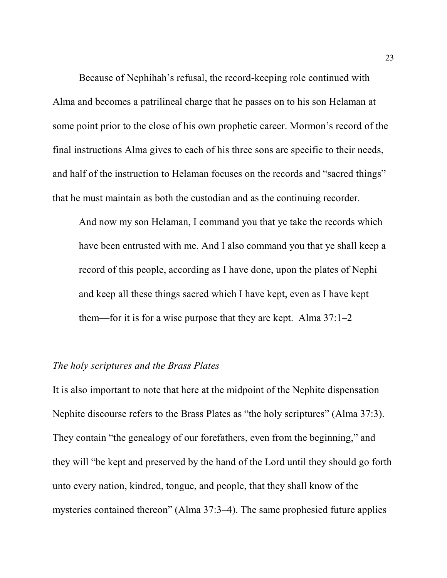Because of Nephihah's refusal, the record-keeping role continued with Alma and becomes a patrilineal charge that he passes on to his son Helaman at some point prior to the close of his own prophetic career. Mormon's record of the final instructions Alma gives to each of his three sons are specific to their needs, and half of the instruction to Helaman focuses on the records and "sacred things" that he must maintain as both the custodian and as the continuing recorder.

And now my son Helaman, I command you that ye take the records which have been entrusted with me. And I also command you that ye shall keep a record of this people, according as I have done, upon the plates of Nephi and keep all these things sacred which I have kept, even as I have kept them—for it is for a wise purpose that they are kept. Alma 37:1–2

#### *The holy scriptures and the Brass Plates*

It is also important to note that here at the midpoint of the Nephite dispensation Nephite discourse refers to the Brass Plates as "the holy scriptures" (Alma 37:3). They contain "the genealogy of our forefathers, even from the beginning," and they will "be kept and preserved by the hand of the Lord until they should go forth unto every nation, kindred, tongue, and people, that they shall know of the mysteries contained thereon" (Alma 37:3–4). The same prophesied future applies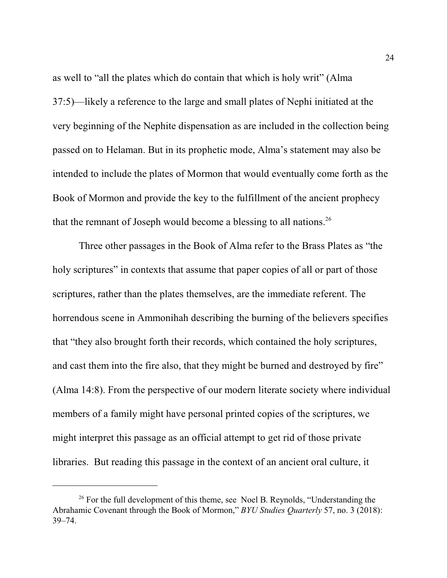as well to "all the plates which do contain that which is holy writ" (Alma 37:5)—likely a reference to the large and small plates of Nephi initiated at the very beginning of the Nephite dispensation as are included in the collection being passed on to Helaman. But in its prophetic mode, Alma's statement may also be intended to include the plates of Mormon that would eventually come forth as the Book of Mormon and provide the key to the fulfillment of the ancient prophecy that the remnant of Joseph would become a blessing to all nations.<sup>26</sup>

Three other passages in the Book of Alma refer to the Brass Plates as "the holy scriptures" in contexts that assume that paper copies of all or part of those scriptures, rather than the plates themselves, are the immediate referent. The horrendous scene in Ammonihah describing the burning of the believers specifies that "they also brought forth their records, which contained the holy scriptures, and cast them into the fire also, that they might be burned and destroyed by fire" (Alma 14:8). From the perspective of our modern literate society where individual members of a family might have personal printed copies of the scriptures, we might interpret this passage as an official attempt to get rid of those private libraries. But reading this passage in the context of an ancient oral culture, it

<sup>&</sup>lt;sup>26</sup> For the full development of this theme, see Noel B. Reynolds, "Understanding the Abrahamic Covenant through the Book of Mormon," *BYU Studies Quarterly* 57, no. 3 (2018): 39–74.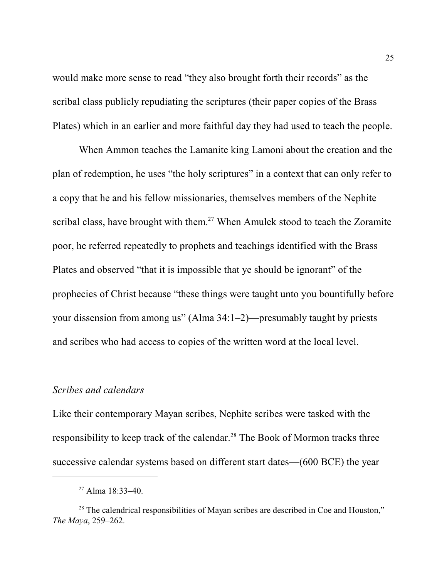would make more sense to read "they also brought forth their records" as the scribal class publicly repudiating the scriptures (their paper copies of the Brass Plates) which in an earlier and more faithful day they had used to teach the people.

When Ammon teaches the Lamanite king Lamoni about the creation and the plan of redemption, he uses "the holy scriptures" in a context that can only refer to a copy that he and his fellow missionaries, themselves members of the Nephite scribal class, have brought with them.<sup>27</sup> When Amulek stood to teach the Zoramite poor, he referred repeatedly to prophets and teachings identified with the Brass Plates and observed "that it is impossible that ye should be ignorant" of the prophecies of Christ because "these things were taught unto you bountifully before your dissension from among us" (Alma 34:1–2)—presumably taught by priests and scribes who had access to copies of the written word at the local level.

#### *Scribes and calendars*

Like their contemporary Mayan scribes, Nephite scribes were tasked with the responsibility to keep track of the calendar.<sup>28</sup> The Book of Mormon tracks three successive calendar systems based on different start dates—(600 BCE) the year

<sup>27</sup> Alma 18:33–40.

 $2<sup>28</sup>$  The calendrical responsibilities of Mayan scribes are described in Coe and Houston," *The Maya*, 259–262.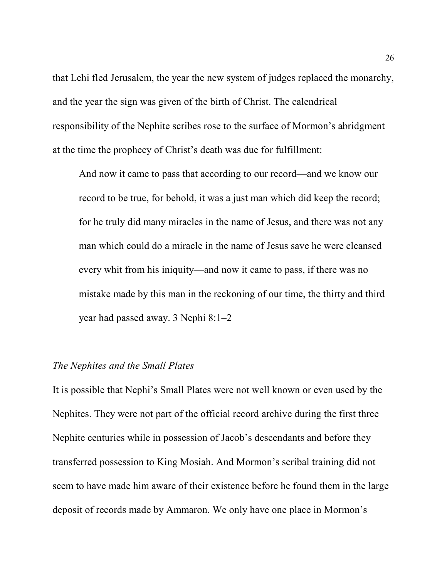that Lehi fled Jerusalem, the year the new system of judges replaced the monarchy, and the year the sign was given of the birth of Christ. The calendrical responsibility of the Nephite scribes rose to the surface of Mormon's abridgment at the time the prophecy of Christ's death was due for fulfillment:

And now it came to pass that according to our record—and we know our record to be true, for behold, it was a just man which did keep the record; for he truly did many miracles in the name of Jesus, and there was not any man which could do a miracle in the name of Jesus save he were cleansed every whit from his iniquity—and now it came to pass, if there was no mistake made by this man in the reckoning of our time, the thirty and third year had passed away. 3 Nephi 8:1–2

#### *The Nephites and the Small Plates*

It is possible that Nephi's Small Plates were not well known or even used by the Nephites. They were not part of the official record archive during the first three Nephite centuries while in possession of Jacob's descendants and before they transferred possession to King Mosiah. And Mormon's scribal training did not seem to have made him aware of their existence before he found them in the large deposit of records made by Ammaron. We only have one place in Mormon's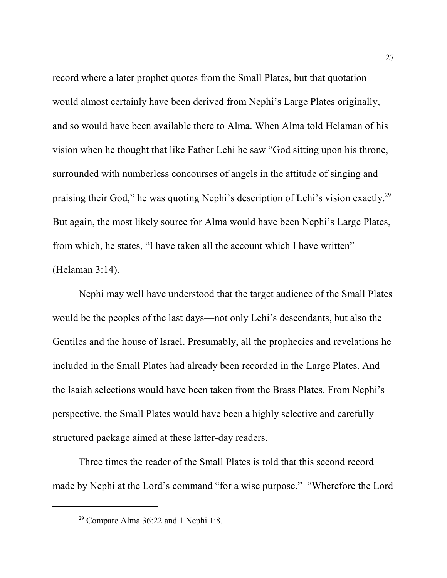record where a later prophet quotes from the Small Plates, but that quotation would almost certainly have been derived from Nephi's Large Plates originally, and so would have been available there to Alma. When Alma told Helaman of his vision when he thought that like Father Lehi he saw "God sitting upon his throne, surrounded with numberless concourses of angels in the attitude of singing and praising their God," he was quoting Nephi's description of Lehi's vision exactly.<sup>29</sup> But again, the most likely source for Alma would have been Nephi's Large Plates, from which, he states, "I have taken all the account which I have written" (Helaman 3:14).

Nephi may well have understood that the target audience of the Small Plates would be the peoples of the last days—not only Lehi's descendants, but also the Gentiles and the house of Israel. Presumably, all the prophecies and revelations he included in the Small Plates had already been recorded in the Large Plates. And the Isaiah selections would have been taken from the Brass Plates. From Nephi's perspective, the Small Plates would have been a highly selective and carefully structured package aimed at these latter-day readers.

Three times the reader of the Small Plates is told that this second record made by Nephi at the Lord's command "for a wise purpose." "Wherefore the Lord

<sup>29</sup> Compare Alma 36:22 and 1 Nephi 1:8.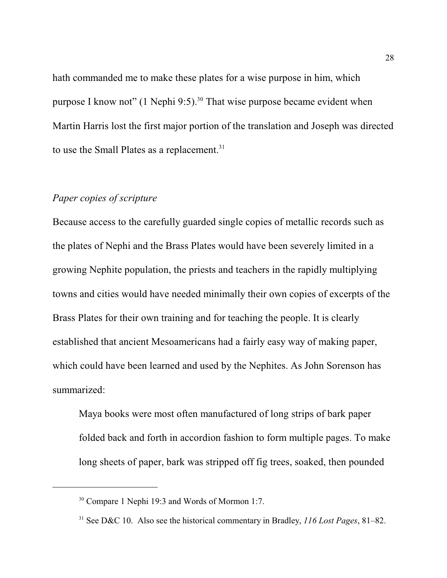hath commanded me to make these plates for a wise purpose in him, which purpose I know not" (1 Nephi 9:5).<sup>30</sup> That wise purpose became evident when Martin Harris lost the first major portion of the translation and Joseph was directed to use the Small Plates as a replacement.<sup>31</sup>

#### *Paper copies of scripture*

Because access to the carefully guarded single copies of metallic records such as the plates of Nephi and the Brass Plates would have been severely limited in a growing Nephite population, the priests and teachers in the rapidly multiplying towns and cities would have needed minimally their own copies of excerpts of the Brass Plates for their own training and for teaching the people. It is clearly established that ancient Mesoamericans had a fairly easy way of making paper, which could have been learned and used by the Nephites. As John Sorenson has summarized:

Maya books were most often manufactured of long strips of bark paper folded back and forth in accordion fashion to form multiple pages. To make long sheets of paper, bark was stripped off fig trees, soaked, then pounded

<sup>&</sup>lt;sup>30</sup> Compare 1 Nephi 19:3 and Words of Mormon 1:7.

<sup>31</sup> See D&C 10. Also see the historical commentary in Bradley, *116 Lost Pages*, 81–82.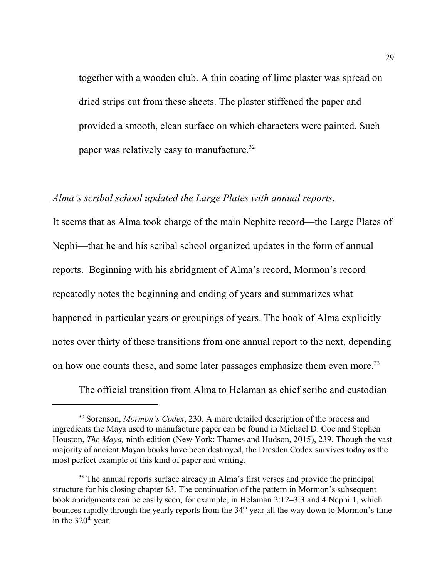together with a wooden club. A thin coating of lime plaster was spread on dried strips cut from these sheets. The plaster stiffened the paper and provided a smooth, clean surface on which characters were painted. Such paper was relatively easy to manufacture.<sup>32</sup>

#### *Alma's scribal school updated the Large Plates with annual reports.*

It seems that as Alma took charge of the main Nephite record—the Large Plates of Nephi—that he and his scribal school organized updates in the form of annual reports. Beginning with his abridgment of Alma's record, Mormon's record repeatedly notes the beginning and ending of years and summarizes what happened in particular years or groupings of years. The book of Alma explicitly notes over thirty of these transitions from one annual report to the next, depending on how one counts these, and some later passages emphasize them even more.<sup>33</sup>

The official transition from Alma to Helaman as chief scribe and custodian

<sup>32</sup> Sorenson, *Mormon's Codex*, 230. A more detailed description of the process and ingredients the Maya used to manufacture paper can be found in Michael D. Coe and Stephen Houston, *The Maya,* ninth edition (New York: Thames and Hudson, 2015), 239. Though the vast majority of ancient Mayan books have been destroyed, the Dresden Codex survives today as the most perfect example of this kind of paper and writing.

<sup>&</sup>lt;sup>33</sup> The annual reports surface already in Alma's first verses and provide the principal structure for his closing chapter 63. The continuation of the pattern in Mormon's subsequent book abridgments can be easily seen, for example, in Helaman 2:12–3:3 and 4 Nephi 1, which bounces rapidly through the yearly reports from the 34<sup>th</sup> year all the way down to Mormon's time in the  $320<sup>th</sup>$  year.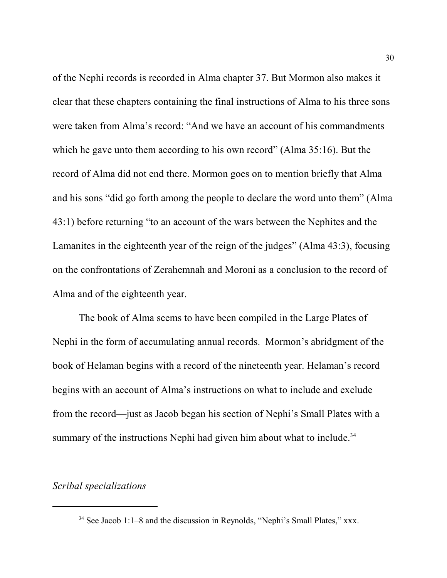of the Nephi records is recorded in Alma chapter 37. But Mormon also makes it clear that these chapters containing the final instructions of Alma to his three sons were taken from Alma's record: "And we have an account of his commandments which he gave unto them according to his own record" (Alma 35:16). But the record of Alma did not end there. Mormon goes on to mention briefly that Alma and his sons "did go forth among the people to declare the word unto them" (Alma 43:1) before returning "to an account of the wars between the Nephites and the Lamanites in the eighteenth year of the reign of the judges" (Alma 43:3), focusing on the confrontations of Zerahemnah and Moroni as a conclusion to the record of Alma and of the eighteenth year.

The book of Alma seems to have been compiled in the Large Plates of Nephi in the form of accumulating annual records. Mormon's abridgment of the book of Helaman begins with a record of the nineteenth year. Helaman's record begins with an account of Alma's instructions on what to include and exclude from the record—just as Jacob began his section of Nephi's Small Plates with a summary of the instructions Nephi had given him about what to include.<sup>34</sup>

### *Scribal specializations*

<sup>34</sup> See Jacob 1:1–8 and the discussion in Reynolds, "Nephi's Small Plates," xxx.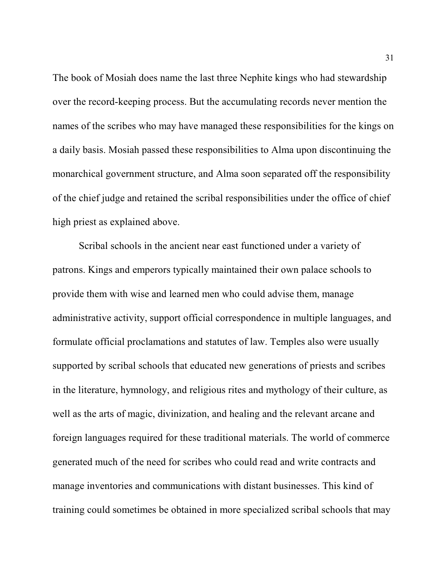The book of Mosiah does name the last three Nephite kings who had stewardship over the record-keeping process. But the accumulating records never mention the names of the scribes who may have managed these responsibilities for the kings on a daily basis. Mosiah passed these responsibilities to Alma upon discontinuing the monarchical government structure, and Alma soon separated off the responsibility of the chief judge and retained the scribal responsibilities under the office of chief high priest as explained above.

Scribal schools in the ancient near east functioned under a variety of patrons. Kings and emperors typically maintained their own palace schools to provide them with wise and learned men who could advise them, manage administrative activity, support official correspondence in multiple languages, and formulate official proclamations and statutes of law. Temples also were usually supported by scribal schools that educated new generations of priests and scribes in the literature, hymnology, and religious rites and mythology of their culture, as well as the arts of magic, divinization, and healing and the relevant arcane and foreign languages required for these traditional materials. The world of commerce generated much of the need for scribes who could read and write contracts and manage inventories and communications with distant businesses. This kind of training could sometimes be obtained in more specialized scribal schools that may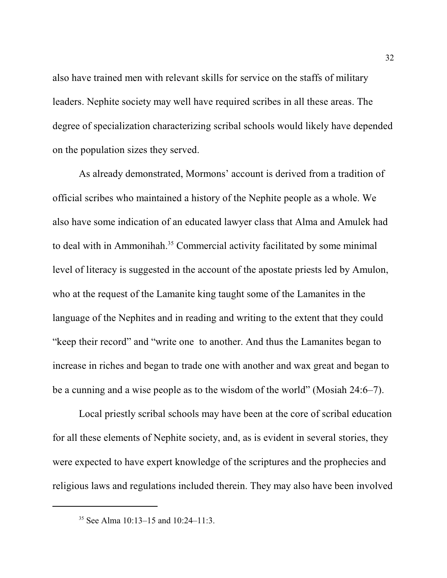also have trained men with relevant skills for service on the staffs of military leaders. Nephite society may well have required scribes in all these areas. The degree of specialization characterizing scribal schools would likely have depended on the population sizes they served.

As already demonstrated, Mormons' account is derived from a tradition of official scribes who maintained a history of the Nephite people as a whole. We also have some indication of an educated lawyer class that Alma and Amulek had to deal with in Ammonihah. 35 Commercial activity facilitated by some minimal level of literacy is suggested in the account of the apostate priests led by Amulon, who at the request of the Lamanite king taught some of the Lamanites in the language of the Nephites and in reading and writing to the extent that they could "keep their record" and "write one to another. And thus the Lamanites began to increase in riches and began to trade one with another and wax great and began to be a cunning and a wise people as to the wisdom of the world" (Mosiah 24:6–7).

Local priestly scribal schools may have been at the core of scribal education for all these elements of Nephite society, and, as is evident in several stories, they were expected to have expert knowledge of the scriptures and the prophecies and religious laws and regulations included therein. They may also have been involved

<sup>35</sup> See Alma 10:13–15 and 10:24–11:3.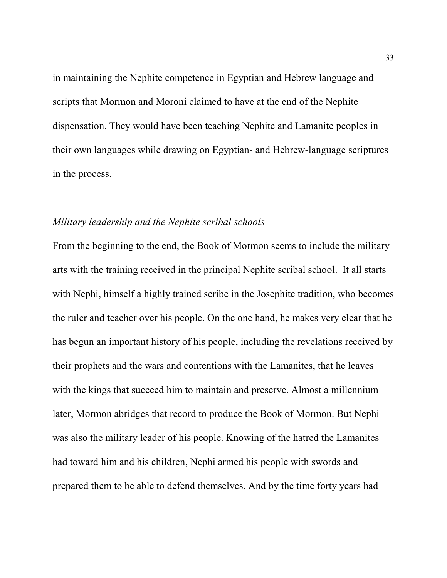in maintaining the Nephite competence in Egyptian and Hebrew language and scripts that Mormon and Moroni claimed to have at the end of the Nephite dispensation. They would have been teaching Nephite and Lamanite peoples in their own languages while drawing on Egyptian- and Hebrew-language scriptures in the process.

#### *Military leadership and the Nephite scribal schools*

From the beginning to the end, the Book of Mormon seems to include the military arts with the training received in the principal Nephite scribal school. It all starts with Nephi, himself a highly trained scribe in the Josephite tradition, who becomes the ruler and teacher over his people. On the one hand, he makes very clear that he has begun an important history of his people, including the revelations received by their prophets and the wars and contentions with the Lamanites, that he leaves with the kings that succeed him to maintain and preserve. Almost a millennium later, Mormon abridges that record to produce the Book of Mormon. But Nephi was also the military leader of his people. Knowing of the hatred the Lamanites had toward him and his children, Nephi armed his people with swords and prepared them to be able to defend themselves. And by the time forty years had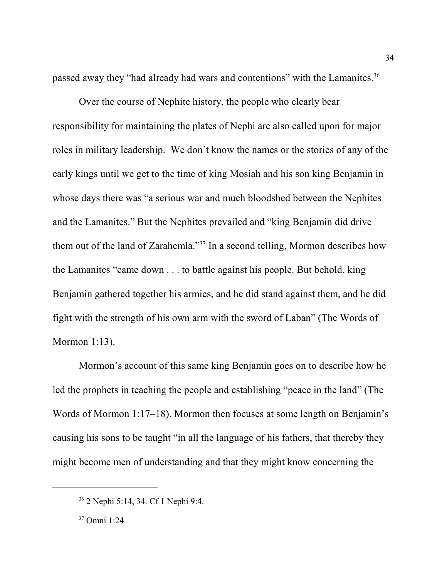passed away they "had already had wars and contentions" with the Lamanites.<sup>36</sup>

Over the course of Nephite history, the people who clearly bear responsibility for maintaining the plates of Nephi are also called upon for major roles in military leadership. We don't know the names or the stories of any of the early kings until we get to the time of king Mosiah and his son king Benjamin in whose days there was "a serious war and much bloodshed between the Nephites and the Lamanites." But the Nephites prevailed and "king Benjamin did drive them out of the land of Zarahemla."<sup>37</sup> In a second telling, Mormon describes how the Lamanites "came down . . . to battle against his people. But behold, king Benjamin gathered together his armies, and he did stand against them, and he did fight with the strength of his own arm with the sword of Laban" (The Words of Mormon 1:13).

Mormon's account of this same king Benjamin goes on to describe how he led the prophets in teaching the people and establishing "peace in the land" (The Words of Mormon 1:17–18). Mormon then focuses at some length on Benjamin's causing his sons to be taught "in all the language of his fathers, that thereby they might become men of understanding and that they might know concerning the

<sup>36</sup> 2 Nephi 5:14, 34. Cf 1 Nephi 9:4.

<sup>37</sup> Omni 1:24.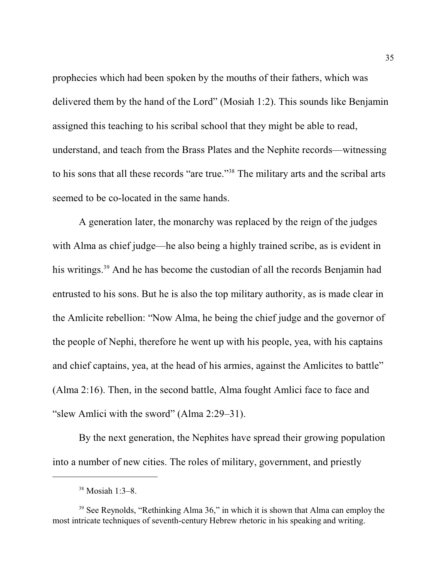prophecies which had been spoken by the mouths of their fathers, which was delivered them by the hand of the Lord" (Mosiah 1:2). This sounds like Benjamin assigned this teaching to his scribal school that they might be able to read, understand, and teach from the Brass Plates and the Nephite records—witnessing to his sons that all these records "are true."<sup>38</sup> The military arts and the scribal arts seemed to be co-located in the same hands.

A generation later, the monarchy was replaced by the reign of the judges with Alma as chief judge—he also being a highly trained scribe, as is evident in his writings.<sup>39</sup> And he has become the custodian of all the records Benjamin had entrusted to his sons. But he is also the top military authority, as is made clear in the Amlicite rebellion: "Now Alma, he being the chief judge and the governor of the people of Nephi, therefore he went up with his people, yea, with his captains and chief captains, yea, at the head of his armies, against the Amlicites to battle" (Alma 2:16). Then, in the second battle, Alma fought Amlici face to face and "slew Amlici with the sword" (Alma 2:29–31).

By the next generation, the Nephites have spread their growing population into a number of new cities. The roles of military, government, and priestly

<sup>38</sup> Mosiah 1:3–8.

<sup>&</sup>lt;sup>39</sup> See Reynolds, "Rethinking Alma 36," in which it is shown that Alma can employ the most intricate techniques of seventh-century Hebrew rhetoric in his speaking and writing.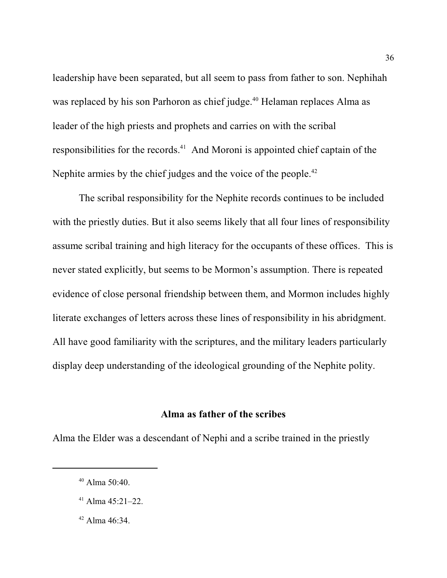leadership have been separated, but all seem to pass from father to son. Nephihah was replaced by his son Parhoron as chief judge.<sup>40</sup> Helaman replaces Alma as leader of the high priests and prophets and carries on with the scribal responsibilities for the records.<sup>41</sup> And Moroni is appointed chief captain of the Nephite armies by the chief judges and the voice of the people.<sup>42</sup>

The scribal responsibility for the Nephite records continues to be included with the priestly duties. But it also seems likely that all four lines of responsibility assume scribal training and high literacy for the occupants of these offices. This is never stated explicitly, but seems to be Mormon's assumption. There is repeated evidence of close personal friendship between them, and Mormon includes highly literate exchanges of letters across these lines of responsibility in his abridgment. All have good familiarity with the scriptures, and the military leaders particularly display deep understanding of the ideological grounding of the Nephite polity.

#### **Alma as father of the scribes**

Alma the Elder was a descendant of Nephi and a scribe trained in the priestly

- $41$  Alma 45:21-22.
- 42 Alma 46:34.

<sup>40</sup> Alma 50:40.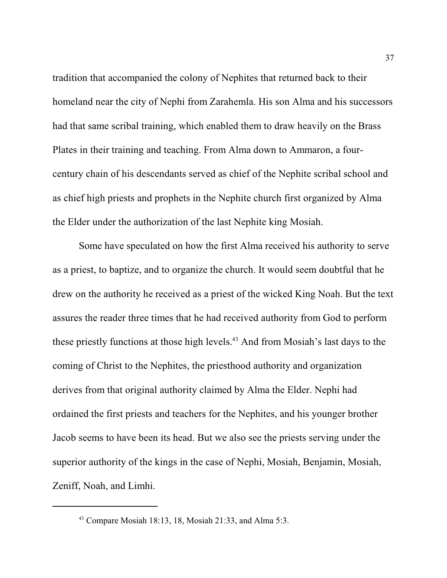tradition that accompanied the colony of Nephites that returned back to their homeland near the city of Nephi from Zarahemla. His son Alma and his successors had that same scribal training, which enabled them to draw heavily on the Brass Plates in their training and teaching. From Alma down to Ammaron, a fourcentury chain of his descendants served as chief of the Nephite scribal school and as chief high priests and prophets in the Nephite church first organized by Alma the Elder under the authorization of the last Nephite king Mosiah.

Some have speculated on how the first Alma received his authority to serve as a priest, to baptize, and to organize the church. It would seem doubtful that he drew on the authority he received as a priest of the wicked King Noah. But the text assures the reader three times that he had received authority from God to perform these priestly functions at those high levels.<sup>43</sup> And from Mosiah's last days to the coming of Christ to the Nephites, the priesthood authority and organization derives from that original authority claimed by Alma the Elder. Nephi had ordained the first priests and teachers for the Nephites, and his younger brother Jacob seems to have been its head. But we also see the priests serving under the superior authority of the kings in the case of Nephi, Mosiah, Benjamin, Mosiah, Zeniff, Noah, and Limhi.

<sup>43</sup> Compare Mosiah 18:13, 18, Mosiah 21:33, and Alma 5:3.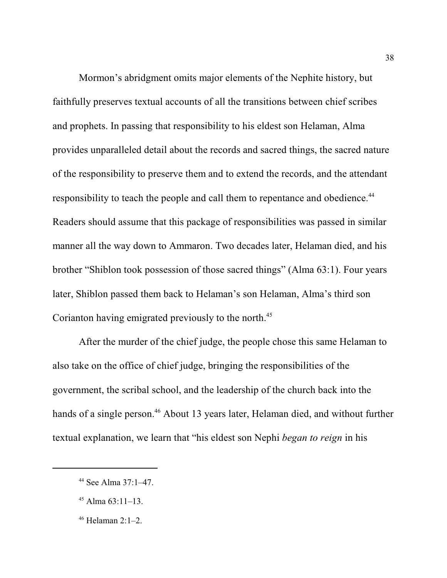Mormon's abridgment omits major elements of the Nephite history, but faithfully preserves textual accounts of all the transitions between chief scribes and prophets. In passing that responsibility to his eldest son Helaman, Alma provides unparalleled detail about the records and sacred things, the sacred nature of the responsibility to preserve them and to extend the records, and the attendant responsibility to teach the people and call them to repentance and obedience.<sup>44</sup> Readers should assume that this package of responsibilities was passed in similar manner all the way down to Ammaron. Two decades later, Helaman died, and his brother "Shiblon took possession of those sacred things" (Alma 63:1). Four years later, Shiblon passed them back to Helaman's son Helaman, Alma's third son Corianton having emigrated previously to the north. 45

After the murder of the chief judge, the people chose this same Helaman to also take on the office of chief judge, bringing the responsibilities of the government, the scribal school, and the leadership of the church back into the hands of a single person.<sup>46</sup> About 13 years later, Helaman died, and without further textual explanation, we learn that "his eldest son Nephi *began to reign* in his

<sup>44</sup> See Alma 37:1–47.

 $45$  Alma  $63:11-13$ .

<sup>46</sup> Helaman 2:1–2.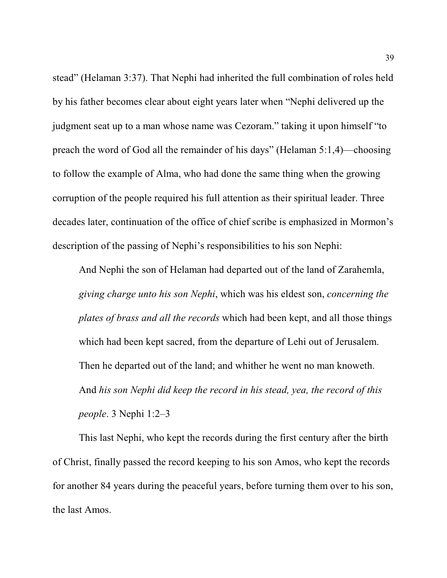stead" (Helaman 3:37). That Nephi had inherited the full combination of roles held by his father becomes clear about eight years later when "Nephi delivered up the judgment seat up to a man whose name was Cezoram." taking it upon himself "to preach the word of God all the remainder of his days" (Helaman 5:1,4)—choosing to follow the example of Alma, who had done the same thing when the growing corruption of the people required his full attention as their spiritual leader. Three decades later, continuation of the office of chief scribe is emphasized in Mormon's description of the passing of Nephi's responsibilities to his son Nephi:

And Nephi the son of Helaman had departed out of the land of Zarahemla, *giving charge unto his son Nephi*, which was his eldest son, *concerning the plates of brass and all the records* which had been kept, and all those things which had been kept sacred, from the departure of Lehi out of Jerusalem. Then he departed out of the land; and whither he went no man knoweth. And *his son Nephi did keep the record in his stead, yea, the record of this people*. 3 Nephi 1:2–3

This last Nephi, who kept the records during the first century after the birth of Christ, finally passed the record keeping to his son Amos, who kept the records for another 84 years during the peaceful years, before turning them over to his son, the last Amos.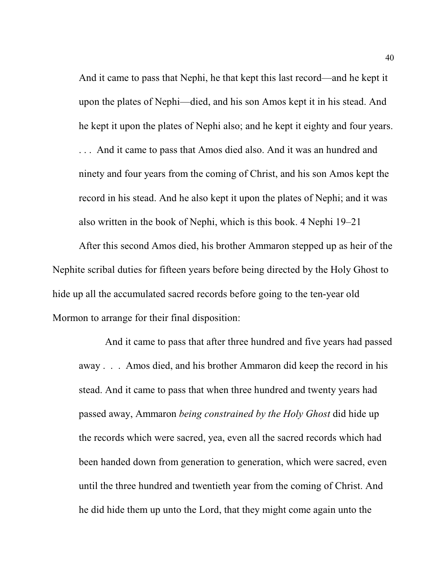And it came to pass that Nephi, he that kept this last record—and he kept it upon the plates of Nephi—died, and his son Amos kept it in his stead. And he kept it upon the plates of Nephi also; and he kept it eighty and four years. . . . And it came to pass that Amos died also. And it was an hundred and ninety and four years from the coming of Christ, and his son Amos kept the record in his stead. And he also kept it upon the plates of Nephi; and it was also written in the book of Nephi, which is this book. 4 Nephi 19–21

After this second Amos died, his brother Ammaron stepped up as heir of the Nephite scribal duties for fifteen years before being directed by the Holy Ghost to hide up all the accumulated sacred records before going to the ten-year old Mormon to arrange for their final disposition:

And it came to pass that after three hundred and five years had passed away . . . Amos died, and his brother Ammaron did keep the record in his stead. And it came to pass that when three hundred and twenty years had passed away, Ammaron *being constrained by the Holy Ghost* did hide up the records which were sacred, yea, even all the sacred records which had been handed down from generation to generation, which were sacred, even until the three hundred and twentieth year from the coming of Christ. And he did hide them up unto the Lord, that they might come again unto the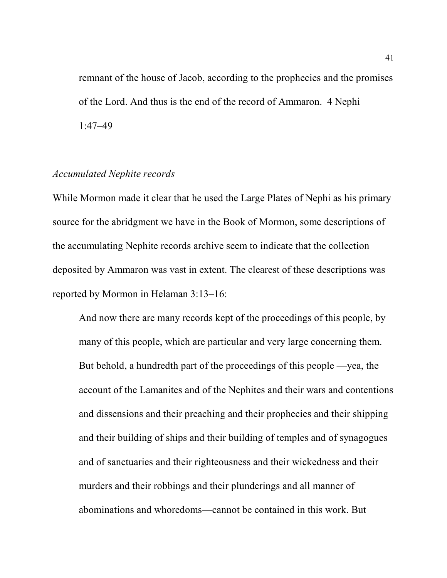remnant of the house of Jacob, according to the prophecies and the promises of the Lord. And thus is the end of the record of Ammaron. 4 Nephi 1:47–49

#### *Accumulated Nephite records*

While Mormon made it clear that he used the Large Plates of Nephi as his primary source for the abridgment we have in the Book of Mormon, some descriptions of the accumulating Nephite records archive seem to indicate that the collection deposited by Ammaron was vast in extent. The clearest of these descriptions was reported by Mormon in Helaman 3:13–16:

And now there are many records kept of the proceedings of this people, by many of this people, which are particular and very large concerning them. But behold, a hundredth part of the proceedings of this people —yea, the account of the Lamanites and of the Nephites and their wars and contentions and dissensions and their preaching and their prophecies and their shipping and their building of ships and their building of temples and of synagogues and of sanctuaries and their righteousness and their wickedness and their murders and their robbings and their plunderings and all manner of abominations and whoredoms—cannot be contained in this work. But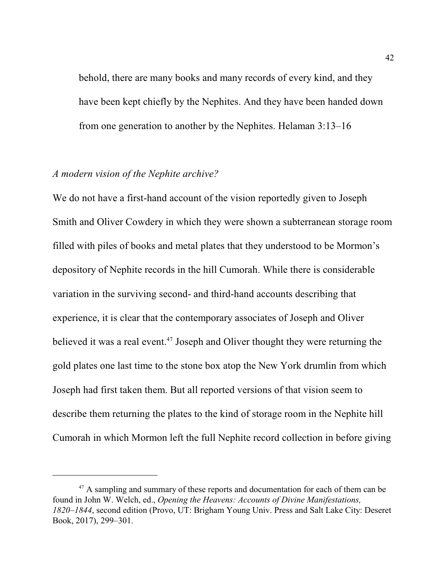behold, there are many books and many records of every kind, and they have been kept chiefly by the Nephites. And they have been handed down from one generation to another by the Nephites. Helaman 3:13–16

#### *A modern vision of the Nephite archive?*

We do not have a first-hand account of the vision reportedly given to Joseph Smith and Oliver Cowdery in which they were shown a subterranean storage room filled with piles of books and metal plates that they understood to be Mormon's depository of Nephite records in the hill Cumorah. While there is considerable variation in the surviving second- and third-hand accounts describing that experience, it is clear that the contemporary associates of Joseph and Oliver believed it was a real event.<sup>47</sup> Joseph and Oliver thought they were returning the gold plates one last time to the stone box atop the New York drumlin from which Joseph had first taken them. But all reported versions of that vision seem to describe them returning the plates to the kind of storage room in the Nephite hill Cumorah in which Mormon left the full Nephite record collection in before giving

<sup>&</sup>lt;sup>47</sup> A sampling and summary of these reports and documentation for each of them can be found in John W. Welch, ed., *Opening the Heavens: Accounts of Divine Manifestations, 1820–1844*, second edition (Provo, UT: Brigham Young Univ. Press and Salt Lake City: Deseret Book, 2017), 299–301.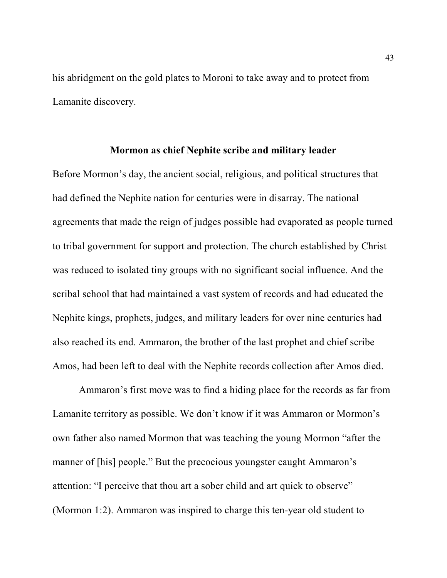his abridgment on the gold plates to Moroni to take away and to protect from Lamanite discovery.

#### **Mormon as chief Nephite scribe and military leader**

Before Mormon's day, the ancient social, religious, and political structures that had defined the Nephite nation for centuries were in disarray. The national agreements that made the reign of judges possible had evaporated as people turned to tribal government for support and protection. The church established by Christ was reduced to isolated tiny groups with no significant social influence. And the scribal school that had maintained a vast system of records and had educated the Nephite kings, prophets, judges, and military leaders for over nine centuries had also reached its end. Ammaron, the brother of the last prophet and chief scribe Amos, had been left to deal with the Nephite records collection after Amos died.

Ammaron's first move was to find a hiding place for the records as far from Lamanite territory as possible. We don't know if it was Ammaron or Mormon's own father also named Mormon that was teaching the young Mormon "after the manner of [his] people." But the precocious youngster caught Ammaron's attention: "I perceive that thou art a sober child and art quick to observe" (Mormon 1:2). Ammaron was inspired to charge this ten-year old student to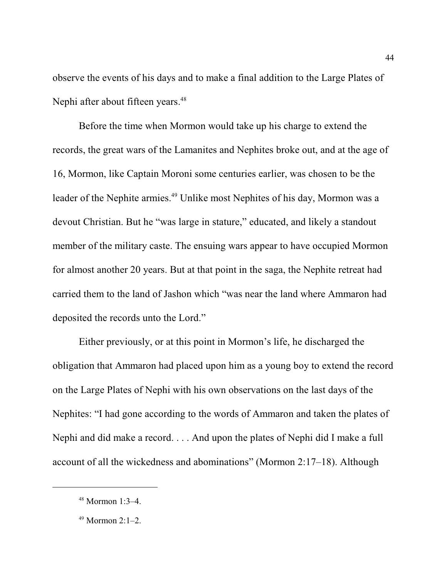observe the events of his days and to make a final addition to the Large Plates of Nephi after about fifteen years.<sup>48</sup>

Before the time when Mormon would take up his charge to extend the records, the great wars of the Lamanites and Nephites broke out, and at the age of 16, Mormon, like Captain Moroni some centuries earlier, was chosen to be the leader of the Nephite armies. 49 Unlike most Nephites of his day, Mormon was a devout Christian. But he "was large in stature," educated, and likely a standout member of the military caste. The ensuing wars appear to have occupied Mormon for almost another 20 years. But at that point in the saga, the Nephite retreat had carried them to the land of Jashon which "was near the land where Ammaron had deposited the records unto the Lord."

Either previously, or at this point in Mormon's life, he discharged the obligation that Ammaron had placed upon him as a young boy to extend the record on the Large Plates of Nephi with his own observations on the last days of the Nephites: "I had gone according to the words of Ammaron and taken the plates of Nephi and did make a record. . . . And upon the plates of Nephi did I make a full account of all the wickedness and abominations" (Mormon 2:17–18). Although

<sup>48</sup> Mormon 1:3–4.

<sup>49</sup> Mormon 2:1–2.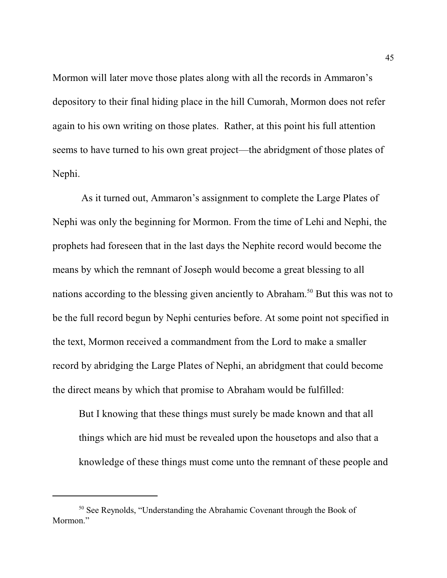Mormon will later move those plates along with all the records in Ammaron's depository to their final hiding place in the hill Cumorah, Mormon does not refer again to his own writing on those plates. Rather, at this point his full attention seems to have turned to his own great project—the abridgment of those plates of Nephi.

 As it turned out, Ammaron's assignment to complete the Large Plates of Nephi was only the beginning for Mormon. From the time of Lehi and Nephi, the prophets had foreseen that in the last days the Nephite record would become the means by which the remnant of Joseph would become a great blessing to all nations according to the blessing given anciently to Abraham.<sup>50</sup> But this was not to be the full record begun by Nephi centuries before. At some point not specified in the text, Mormon received a commandment from the Lord to make a smaller record by abridging the Large Plates of Nephi, an abridgment that could become the direct means by which that promise to Abraham would be fulfilled:

But I knowing that these things must surely be made known and that all things which are hid must be revealed upon the housetops and also that a knowledge of these things must come unto the remnant of these people and

<sup>&</sup>lt;sup>50</sup> See Reynolds, "Understanding the Abrahamic Covenant through the Book of Mormon."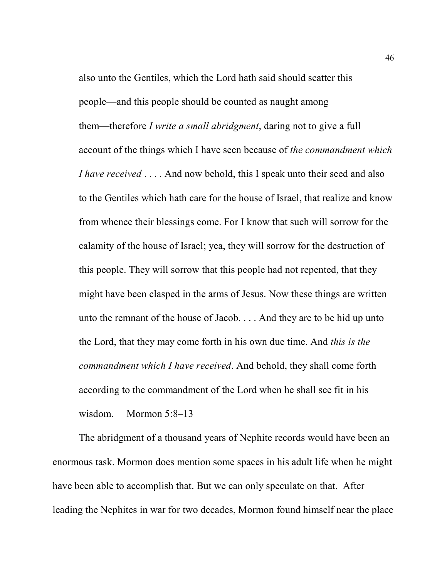also unto the Gentiles, which the Lord hath said should scatter this people—and this people should be counted as naught among them—therefore *I write a small abridgment*, daring not to give a full account of the things which I have seen because of *the commandment which I have received* . . . . And now behold, this I speak unto their seed and also to the Gentiles which hath care for the house of Israel, that realize and know from whence their blessings come. For I know that such will sorrow for the calamity of the house of Israel; yea, they will sorrow for the destruction of this people. They will sorrow that this people had not repented, that they might have been clasped in the arms of Jesus. Now these things are written unto the remnant of the house of Jacob. . . . And they are to be hid up unto the Lord, that they may come forth in his own due time. And *this is the commandment which I have received*. And behold, they shall come forth according to the commandment of the Lord when he shall see fit in his wisdom. Mormon 5:8–13

The abridgment of a thousand years of Nephite records would have been an enormous task. Mormon does mention some spaces in his adult life when he might have been able to accomplish that. But we can only speculate on that. After leading the Nephites in war for two decades, Mormon found himself near the place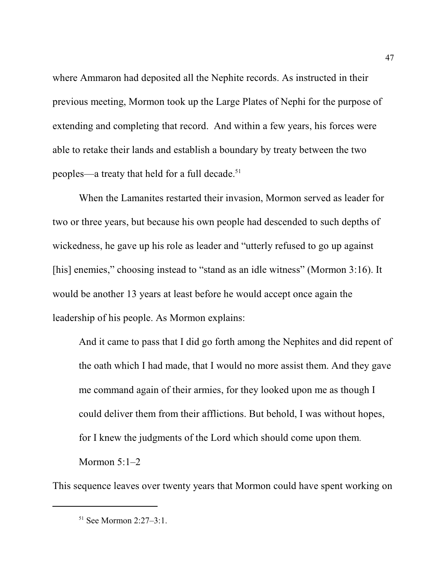where Ammaron had deposited all the Nephite records. As instructed in their previous meeting, Mormon took up the Large Plates of Nephi for the purpose of extending and completing that record. And within a few years, his forces were able to retake their lands and establish a boundary by treaty between the two peoples—a treaty that held for a full decade.<sup>51</sup>

When the Lamanites restarted their invasion, Mormon served as leader for two or three years, but because his own people had descended to such depths of wickedness, he gave up his role as leader and "utterly refused to go up against [his] enemies," choosing instead to "stand as an idle witness" (Mormon 3:16). It would be another 13 years at least before he would accept once again the leadership of his people. As Mormon explains:

And it came to pass that I did go forth among the Nephites and did repent of the oath which I had made, that I would no more assist them. And they gave me command again of their armies, for they looked upon me as though I could deliver them from their afflictions. But behold, I was without hopes, for I knew the judgments of the Lord which should come upon them. Mormon 5:1–2

This sequence leaves over twenty years that Mormon could have spent working on

<sup>51</sup> See Mormon 2:27–3:1.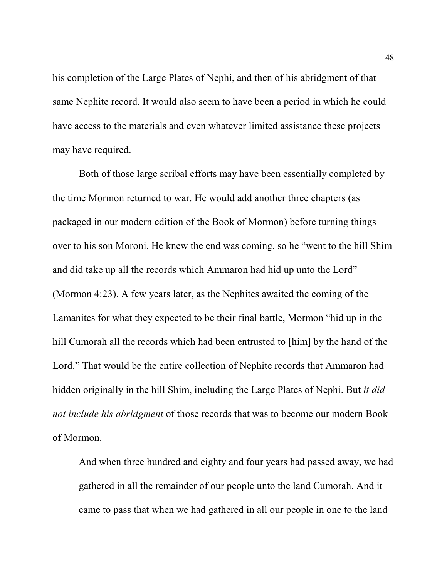his completion of the Large Plates of Nephi, and then of his abridgment of that same Nephite record. It would also seem to have been a period in which he could have access to the materials and even whatever limited assistance these projects may have required.

Both of those large scribal efforts may have been essentially completed by the time Mormon returned to war. He would add another three chapters (as packaged in our modern edition of the Book of Mormon) before turning things over to his son Moroni. He knew the end was coming, so he "went to the hill Shim and did take up all the records which Ammaron had hid up unto the Lord" (Mormon 4:23). A few years later, as the Nephites awaited the coming of the Lamanites for what they expected to be their final battle, Mormon "hid up in the hill Cumorah all the records which had been entrusted to [him] by the hand of the Lord." That would be the entire collection of Nephite records that Ammaron had hidden originally in the hill Shim, including the Large Plates of Nephi. But *it did not include his abridgment* of those records that was to become our modern Book of Mormon.

And when three hundred and eighty and four years had passed away, we had gathered in all the remainder of our people unto the land Cumorah. And it came to pass that when we had gathered in all our people in one to the land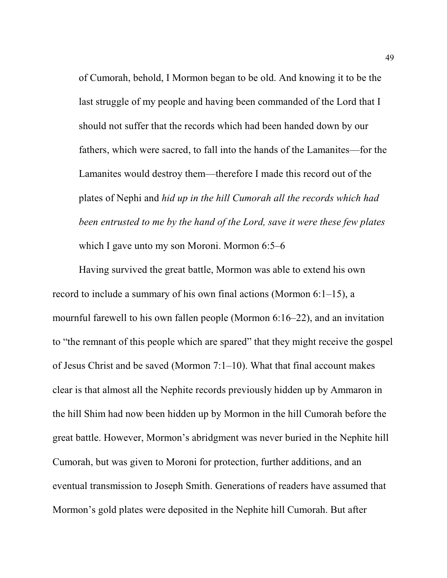of Cumorah, behold, I Mormon began to be old. And knowing it to be the last struggle of my people and having been commanded of the Lord that I should not suffer that the records which had been handed down by our fathers, which were sacred, to fall into the hands of the Lamanites—for the Lamanites would destroy them—therefore I made this record out of the plates of Nephi and *hid up in the hill Cumorah all the records which had been entrusted to me by the hand of the Lord, save it were these few plates* which I gave unto my son Moroni. Mormon 6:5–6

Having survived the great battle, Mormon was able to extend his own record to include a summary of his own final actions (Mormon 6:1–15), a mournful farewell to his own fallen people (Mormon 6:16–22), and an invitation to "the remnant of this people which are spared" that they might receive the gospel of Jesus Christ and be saved (Mormon 7:1–10). What that final account makes clear is that almost all the Nephite records previously hidden up by Ammaron in the hill Shim had now been hidden up by Mormon in the hill Cumorah before the great battle. However, Mormon's abridgment was never buried in the Nephite hill Cumorah, but was given to Moroni for protection, further additions, and an eventual transmission to Joseph Smith. Generations of readers have assumed that Mormon's gold plates were deposited in the Nephite hill Cumorah. But after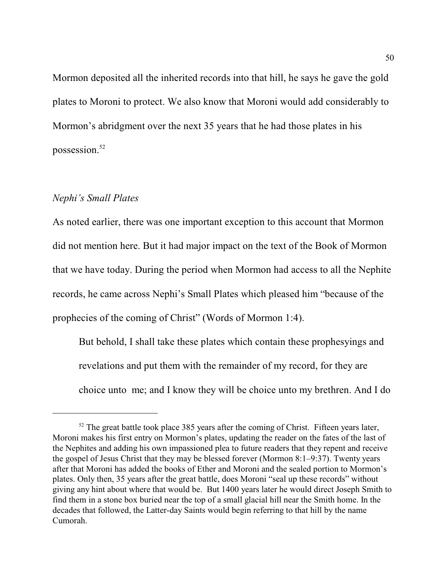Mormon deposited all the inherited records into that hill, he says he gave the gold plates to Moroni to protect. We also know that Moroni would add considerably to Mormon's abridgment over the next 35 years that he had those plates in his possession. 52

#### *Nephi's Small Plates*

As noted earlier, there was one important exception to this account that Mormon did not mention here. But it had major impact on the text of the Book of Mormon that we have today. During the period when Mormon had access to all the Nephite records, he came across Nephi's Small Plates which pleased him "because of the prophecies of the coming of Christ" (Words of Mormon 1:4).

But behold, I shall take these plates which contain these prophesyings and revelations and put them with the remainder of my record, for they are choice unto me; and I know they will be choice unto my brethren. And I do

 $52$  The great battle took place 385 years after the coming of Christ. Fifteen years later, Moroni makes his first entry on Mormon's plates, updating the reader on the fates of the last of the Nephites and adding his own impassioned plea to future readers that they repent and receive the gospel of Jesus Christ that they may be blessed forever (Mormon 8:1–9:37). Twenty years after that Moroni has added the books of Ether and Moroni and the sealed portion to Mormon's plates. Only then, 35 years after the great battle, does Moroni "seal up these records" without giving any hint about where that would be. But 1400 years later he would direct Joseph Smith to find them in a stone box buried near the top of a small glacial hill near the Smith home. In the decades that followed, the Latter-day Saints would begin referring to that hill by the name Cumorah.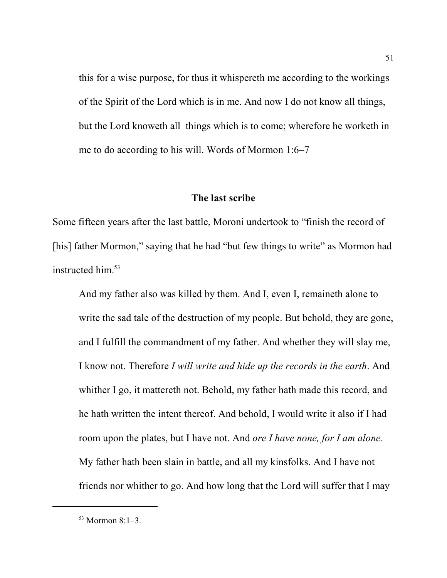this for a wise purpose, for thus it whispereth me according to the workings of the Spirit of the Lord which is in me. And now I do not know all things, but the Lord knoweth all things which is to come; wherefore he worketh in me to do according to his will. Words of Mormon 1:6–7

#### **The last scribe**

Some fifteen years after the last battle, Moroni undertook to "finish the record of [his] father Mormon," saying that he had "but few things to write" as Mormon had instructed him. 53

And my father also was killed by them. And I, even I, remaineth alone to write the sad tale of the destruction of my people. But behold, they are gone, and I fulfill the commandment of my father. And whether they will slay me, I know not. Therefore *I will write and hide up the records in the earth*. And whither I go, it mattereth not. Behold, my father hath made this record, and he hath written the intent thereof. And behold, I would write it also if I had room upon the plates, but I have not. And *ore I have none, for I am alone*. My father hath been slain in battle, and all my kinsfolks. And I have not friends nor whither to go. And how long that the Lord will suffer that I may

<sup>53</sup> Mormon 8:1–3.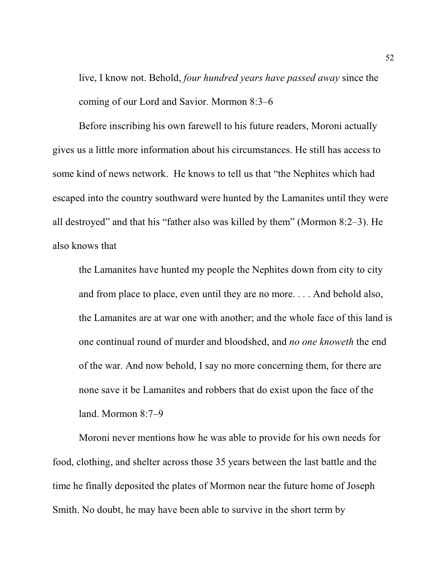live, I know not. Behold, *four hundred years have passed away* since the coming of our Lord and Savior. Mormon 8:3–6

Before inscribing his own farewell to his future readers, Moroni actually gives us a little more information about his circumstances. He still has access to some kind of news network. He knows to tell us that "the Nephites which had escaped into the country southward were hunted by the Lamanites until they were all destroyed" and that his "father also was killed by them" (Mormon 8:2–3). He also knows that

the Lamanites have hunted my people the Nephites down from city to city and from place to place, even until they are no more. . . . And behold also, the Lamanites are at war one with another; and the whole face of this land is one continual round of murder and bloodshed, and *no one knoweth* the end of the war. And now behold, I say no more concerning them, for there are none save it be Lamanites and robbers that do exist upon the face of the land. Mormon 8:7–9

Moroni never mentions how he was able to provide for his own needs for food, clothing, and shelter across those 35 years between the last battle and the time he finally deposited the plates of Mormon near the future home of Joseph Smith. No doubt, he may have been able to survive in the short term by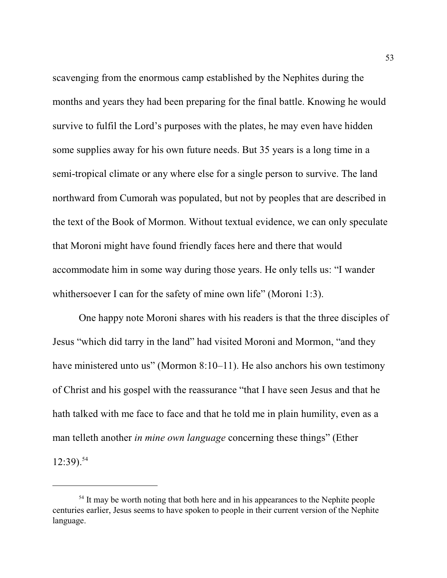scavenging from the enormous camp established by the Nephites during the months and years they had been preparing for the final battle. Knowing he would survive to fulfil the Lord's purposes with the plates, he may even have hidden some supplies away for his own future needs. But 35 years is a long time in a semi-tropical climate or any where else for a single person to survive. The land northward from Cumorah was populated, but not by peoples that are described in the text of the Book of Mormon. Without textual evidence, we can only speculate that Moroni might have found friendly faces here and there that would accommodate him in some way during those years. He only tells us: "I wander whithersoever I can for the safety of mine own life" (Moroni 1:3).

One happy note Moroni shares with his readers is that the three disciples of Jesus "which did tarry in the land" had visited Moroni and Mormon, "and they have ministered unto us" (Mormon 8:10–11). He also anchors his own testimony of Christ and his gospel with the reassurance "that I have seen Jesus and that he hath talked with me face to face and that he told me in plain humility, even as a man telleth another *in mine own language* concerning these things" (Ether  $12:39$ ).<sup>54</sup>

<sup>&</sup>lt;sup>54</sup> It may be worth noting that both here and in his appearances to the Nephite people centuries earlier, Jesus seems to have spoken to people in their current version of the Nephite language.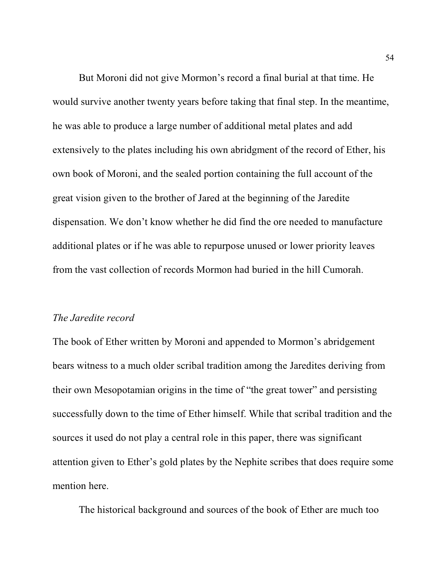But Moroni did not give Mormon's record a final burial at that time. He would survive another twenty years before taking that final step. In the meantime, he was able to produce a large number of additional metal plates and add extensively to the plates including his own abridgment of the record of Ether, his own book of Moroni, and the sealed portion containing the full account of the great vision given to the brother of Jared at the beginning of the Jaredite dispensation. We don't know whether he did find the ore needed to manufacture additional plates or if he was able to repurpose unused or lower priority leaves from the vast collection of records Mormon had buried in the hill Cumorah.

#### *The Jaredite record*

The book of Ether written by Moroni and appended to Mormon's abridgement bears witness to a much older scribal tradition among the Jaredites deriving from their own Mesopotamian origins in the time of "the great tower" and persisting successfully down to the time of Ether himself. While that scribal tradition and the sources it used do not play a central role in this paper, there was significant attention given to Ether's gold plates by the Nephite scribes that does require some mention here.

The historical background and sources of the book of Ether are much too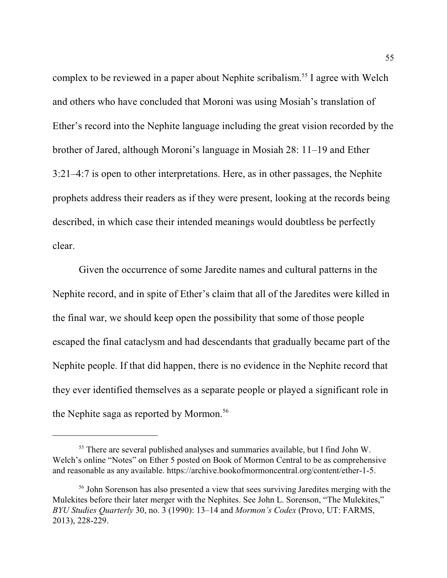complex to be reviewed in a paper about Nephite scribalism.<sup>55</sup> I agree with Welch and others who have concluded that Moroni was using Mosiah's translation of Ether's record into the Nephite language including the great vision recorded by the brother of Jared, although Moroni's language in Mosiah 28: 11–19 and Ether 3:21–4:7 is open to other interpretations. Here, as in other passages, the Nephite prophets address their readers as if they were present, looking at the records being described, in which case their intended meanings would doubtless be perfectly clear.

Given the occurrence of some Jaredite names and cultural patterns in the Nephite record, and in spite of Ether's claim that all of the Jaredites were killed in the final war, we should keep open the possibility that some of those people escaped the final cataclysm and had descendants that gradually became part of the Nephite people. If that did happen, there is no evidence in the Nephite record that they ever identified themselves as a separate people or played a significant role in the Nephite saga as reported by Mormon. 56

<sup>&</sup>lt;sup>55</sup> There are several published analyses and summaries available, but I find John W. Welch's online "Notes" on Ether 5 posted on Book of Mormon Central to be as comprehensive and reasonable as any available. https://archive.bookofmormoncentral.org/content/ether-1-5.

<sup>&</sup>lt;sup>56</sup> John Sorenson has also presented a view that sees surviving Jaredites merging with the Mulekites before their later merger with the Nephites. See John L. Sorenson, "The Mulekites," *BYU Studies Quarterly* 30, no. 3 (1990): 13–14 and *Mormon's Codex* (Provo, UT: FARMS, 2013), 228-229.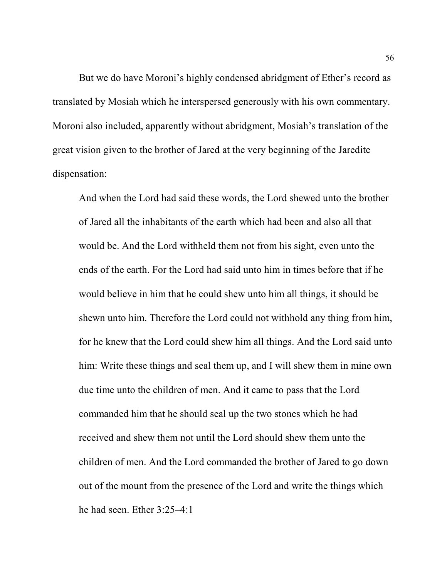But we do have Moroni's highly condensed abridgment of Ether's record as translated by Mosiah which he interspersed generously with his own commentary. Moroni also included, apparently without abridgment, Mosiah's translation of the great vision given to the brother of Jared at the very beginning of the Jaredite dispensation:

And when the Lord had said these words, the Lord shewed unto the brother of Jared all the inhabitants of the earth which had been and also all that would be. And the Lord withheld them not from his sight, even unto the ends of the earth. For the Lord had said unto him in times before that if he would believe in him that he could shew unto him all things, it should be shewn unto him. Therefore the Lord could not withhold any thing from him, for he knew that the Lord could shew him all things. And the Lord said unto him: Write these things and seal them up, and I will shew them in mine own due time unto the children of men. And it came to pass that the Lord commanded him that he should seal up the two stones which he had received and shew them not until the Lord should shew them unto the children of men. And the Lord commanded the brother of Jared to go down out of the mount from the presence of the Lord and write the things which he had seen. Ether 3:25–4:1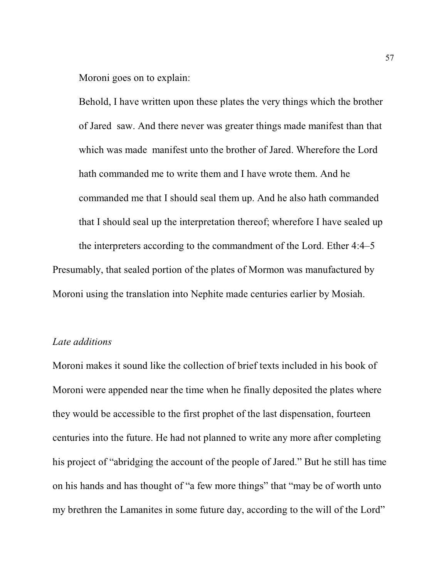Moroni goes on to explain:

Behold, I have written upon these plates the very things which the brother of Jared saw. And there never was greater things made manifest than that which was made manifest unto the brother of Jared. Wherefore the Lord hath commanded me to write them and I have wrote them. And he commanded me that I should seal them up. And he also hath commanded that I should seal up the interpretation thereof; wherefore I have sealed up the interpreters according to the commandment of the Lord. Ether 4:4–5

Presumably, that sealed portion of the plates of Mormon was manufactured by Moroni using the translation into Nephite made centuries earlier by Mosiah.

#### *Late additions*

Moroni makes it sound like the collection of brief texts included in his book of Moroni were appended near the time when he finally deposited the plates where they would be accessible to the first prophet of the last dispensation, fourteen centuries into the future. He had not planned to write any more after completing his project of "abridging the account of the people of Jared." But he still has time on his hands and has thought of "a few more things" that "may be of worth unto my brethren the Lamanites in some future day, according to the will of the Lord"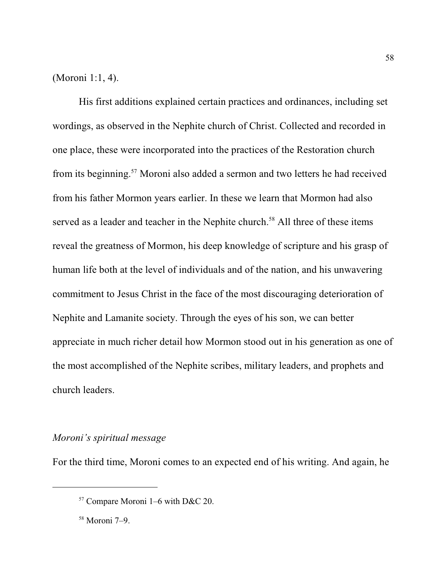(Moroni 1:1, 4).

His first additions explained certain practices and ordinances, including set wordings, as observed in the Nephite church of Christ. Collected and recorded in one place, these were incorporated into the practices of the Restoration church from its beginning.<sup>57</sup> Moroni also added a sermon and two letters he had received from his father Mormon years earlier. In these we learn that Mormon had also served as a leader and teacher in the Nephite church.<sup>58</sup> All three of these items reveal the greatness of Mormon, his deep knowledge of scripture and his grasp of human life both at the level of individuals and of the nation, and his unwavering commitment to Jesus Christ in the face of the most discouraging deterioration of Nephite and Lamanite society. Through the eyes of his son, we can better appreciate in much richer detail how Mormon stood out in his generation as one of the most accomplished of the Nephite scribes, military leaders, and prophets and church leaders.

#### *Moroni's spiritual message*

For the third time, Moroni comes to an expected end of his writing. And again, he

<sup>57</sup> Compare Moroni 1–6 with D&C 20.

<sup>58</sup> Moroni 7–9.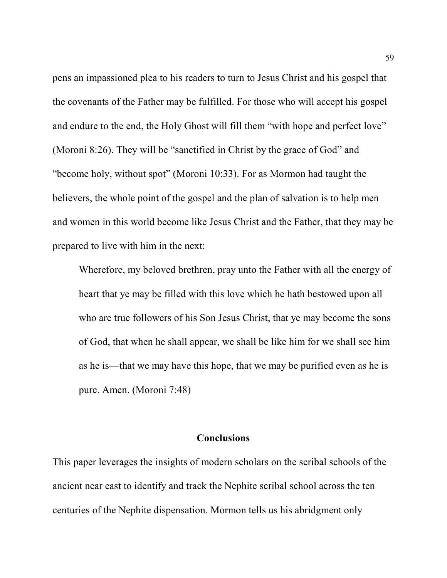pens an impassioned plea to his readers to turn to Jesus Christ and his gospel that the covenants of the Father may be fulfilled. For those who will accept his gospel and endure to the end, the Holy Ghost will fill them "with hope and perfect love" (Moroni 8:26). They will be "sanctified in Christ by the grace of God" and "become holy, without spot" (Moroni 10:33). For as Mormon had taught the believers, the whole point of the gospel and the plan of salvation is to help men and women in this world become like Jesus Christ and the Father, that they may be prepared to live with him in the next:

Wherefore, my beloved brethren, pray unto the Father with all the energy of heart that ye may be filled with this love which he hath bestowed upon all who are true followers of his Son Jesus Christ, that ye may become the sons of God, that when he shall appear, we shall be like him for we shall see him as he is—that we may have this hope, that we may be purified even as he is pure. Amen. (Moroni 7:48)

#### **Conclusions**

This paper leverages the insights of modern scholars on the scribal schools of the ancient near east to identify and track the Nephite scribal school across the ten centuries of the Nephite dispensation. Mormon tells us his abridgment only